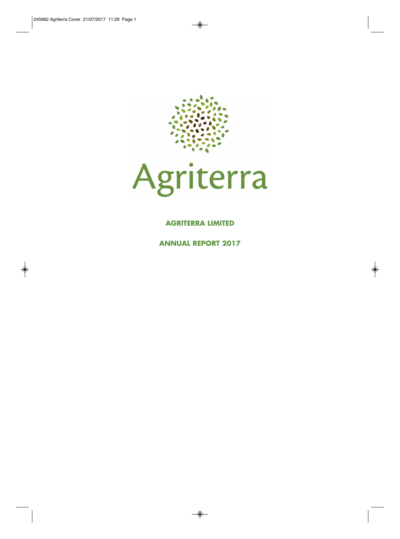



### **AGRITERRA LIMITED**

**ANNUAL REPORT 2017**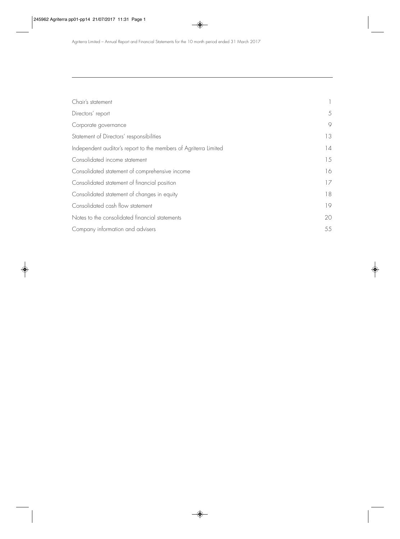| Chair's statement                                                |    |
|------------------------------------------------------------------|----|
| Directors' report                                                | 5  |
| Corporate governance                                             | 9  |
| Statement of Directors' responsibilities                         | 13 |
| Independent auditor's report to the members of Agriterra Limited | 14 |
| Consolidated income statement                                    | 15 |
| Consolidated statement of comprehensive income                   | 16 |
| Consolidated statement of financial position                     | 17 |
| Consolidated statement of changes in equity                      | 18 |
| Consolidated cash flow statement                                 | 19 |
| Notes to the consolidated financial statements                   | 20 |
| Company information and advisers                                 | 55 |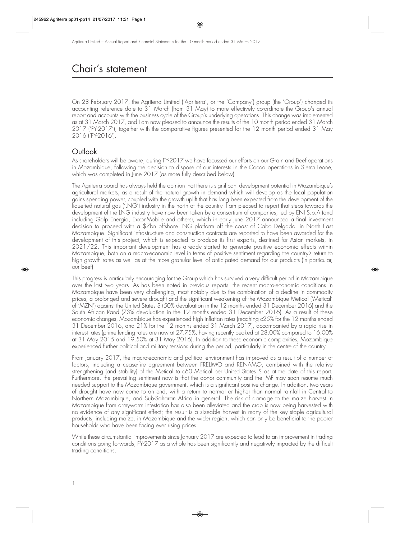## Chair's statement

On 28 February 2017, the Agriterra Limited ('Agriterra', or the 'Company') group (the 'Group') changed its accounting reference date to 31 March (from 31 May) to more effectively co-ordinate the Group's annual report and accounts with the business cycle of the Group's underlying operations. This change was implemented as at 31 March 2017, and I am now pleased to announce the results of the 10 month period ended 31 March 2017 ('FY-2017'), together with the comparative figures presented for the 12 month period ended 31 May 2016 ('FY-2016').

## **Outlook**

As shareholders will be aware, during FY-2017 we have focussed our efforts on our Grain and Beef operations in Mozambique, following the decision to dispose of our interests in the Cocoa operations in Sierra Leone, which was completed in June 2017 (as more fully described below).

The Agriterra board has always held the opinion that there is significant development potential in Mozambique's agricultural markets, as a result of the natural growth in demand which will develop as the local population gains spending power, coupled with the growth uplift that has long been expected from the development of the liquefied natural gas ('LNG') industry in the north of the country. I am pleased to report that steps towards the development of the LNG industry have now been taken by a consortium of companies, led by ENI S.p.A (and including Galp Energia, ExxonMobile and others), which in early June 2017 announced a final investment decision to proceed with a \$7bn offshore LNG platform off the coast of Cabo Delgado, in North East Mozambique. Significant infrastructure and construction contracts are reported to have been awarded for the development of this project, which is expected to produce its first exports, destined for Asian markets, in 2021/22. This important development has already started to generate positive economic effects within Mozambique, both on a macro-economic level in terms of positive sentiment regarding the country's return to high growth rates as well as at the more granular level of anticipated demand for our products (in particular, our beef).

This progress is particularly encouraging for the Group which has survived a very difficult period in Mozambique over the last two years. As has been noted in previous reports, the recent macro-economic conditions in Mozambique have been very challenging, most notably due to the combination of a decline in commodity prices, a prolonged and severe drought and the significant weakening of the Mozambique Metical ('Metical' of 'MZN') against the United States \$ (50% devaluation in the 12 months ended 31 December 2016) and the South African Rand (73% devaluation in the 12 months ended 31 December 2016). As a result of these economic changes, Mozambique has experienced high inflation rates (reaching c25% for the 12 months ended 31 December 2016, and 21% for the 12 months ended 31 March 2017), accompanied by a rapid rise in interest rates (prime lending rates are now at 27.75%, having recently peaked at 28.00% compared to 16.00% at 31 May 2015 and 19.50% at 31 May 2016). In addition to these economic complexities, Mozambique experienced further political and military tensions during the period, particularly in the centre of the country.

From January 2017, the macro-economic and political environment has improved as a result of a number of factors, including a cease-fire agreement between FRELIMO and RENAMO, combined with the relative strengthening (and stability) of the Metical to c60 Metical per United States \$ as at the date of this report. Furthermore, the prevailing sentiment now is that the donor community and the IMF may soon resume much needed support to the Mozambique government, which is a significant positive change. In addition, two years of drought have now come to an end, with a return to normal or higher than normal rainfall in Central to Northern Mozambique, and Sub-Saharan Africa in general. The risk of damage to the maize harvest in Mozambique from armyworm infestation has also been alleviated and the crop is now being harvested with no evidence of any significant effect; the result is a sizeable harvest in many of the key staple agricultural products, including maize, in Mozambique and the wider region, which can only be beneficial to the poorer households who have been facing ever rising prices.

While these circumstantial improvements since January 2017 are expected to lead to an improvement in trading conditions going forwards, FY-2017 as a whole has been significantly and negatively impacted by the difficult trading conditions.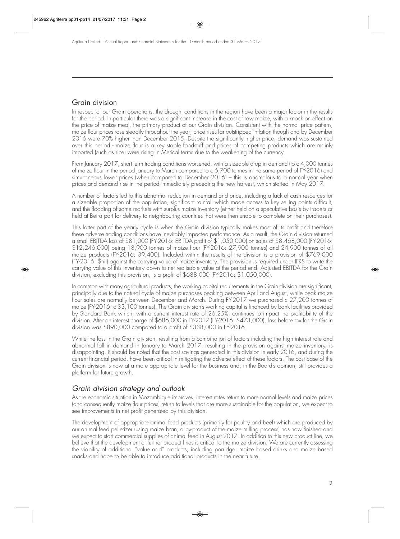## Grain division

In respect of our Grain operations, the drought conditions in the region have been a major factor in the results for the period. In particular there was a significant increase in the cost of raw maize, with a knock on effect on the price of maize meal, the primary product of our Grain division. Consistent with the normal price pattern, maize flour prices rose steadily throughout the year; price rises far outstripped inflation though and by December 2016 were 70% higher than December 2015. Despite the significantly higher price, demand was sustained over this period - maize flour is a key staple foodstuff and prices of competing products which are mainly imported (such as rice) were rising in Metical terms due to the weakening of the currency.

From January 2017, short term trading conditions worsened, with a sizeable drop in demand (to c 4,000 tonnes of maize flour in the period January to March compared to c 6,700 tonnes in the same period of FY-2016) and simultaneous lower prices (when compared to December 2016) – this is anomalous to a normal year when prices and demand rise in the period immediately preceding the new harvest, which started in May 2017.

A number of factors led to this abnormal reduction in demand and price, including a lack of cash resources for a sizeable proportion of the population, significant rainfall which made access to key selling points difficult, and the flooding of some markets with surplus maize inventory (either held on a speculative basis by traders or held at Beira port for delivery to neighbouring countries that were then unable to complete on their purchases).

This latter part of the yearly cycle is when the Grain division typically makes most of its profit and therefore these adverse trading conditions have inevitably impacted performance. As a result, the Grain division returned a small EBITDA loss of \$81,000 (FY-2016: EBITDA profit of \$1,050,000) on sales of \$8,468,000 (FY-2016: \$12,246,000) being 18,900 tonnes of maize flour (FY-2016: 27,900 tonnes) and 24,900 tonnes of all maize products (FY-2016: 39,400). Included within the results of the division is a provision of \$769,000 (FY-2016: \$nil) against the carrying value of maize inventory. The provision is required under IFRS to write the carrying value of this inventory down to net realisable value at the period end. Adjusted EBITDA for the Grain division, excluding this provision, is a profit of \$688,000 (FY-2016: \$1,050,000).

In common with many agricultural products, the working capital requirements in the Grain division are significant, principally due to the natural cycle of maize purchases peaking between April and August, while peak maize flour sales are normally between December and March. During FY-2017 we purchased c 27,200 tonnes of maize (FY-2016: c 33,100 tonnes). The Grain division's working capital is financed by bank facilities provided by Standard Bank which, with a current interest rate of 26.25%, continues to impact the profitability of the division. After an interest charge of \$686,000 in FY-2017 (FY-2016: \$473,000), loss before tax for the Grain division was \$890,000 compared to a profit of \$338,000 in FY-2016.

While the loss in the Grain division, resulting from a combination of factors including the high interest rate and abnormal fall in demand in January to March 2017, resulting in the provision against maize inventory, is disappointing, it should be noted that the cost savings generated in this division in early 2016, and during the current financial period, have been critical in mitigating the adverse effect of these factors. The cost base of the Grain division is now at a more appropriate level for the business and, in the Board's opinion, still provides a platform for future growth.

## Grain division strategy and outlook

As the economic situation in Mozambique improves, interest rates return to more normal levels and maize prices (and consequently maize flour prices) return to levels that are more sustainable for the population, we expect to see improvements in net profit generated by this division.

The development of appropriate animal feed products (primarily for poultry and beef) which are produced by our animal feed pelletizer (using maize bran, a by-product of the maize milling process) has now finished and we expect to start commercial supplies of animal feed in August 2017. In addition to this new product line, we believe that the development of further product lines is critical to the maize division. We are currently assessing the viability of additional "value add" products, including porridge, maize based drinks and maize based snacks and hope to be able to introduce additional products in the near future.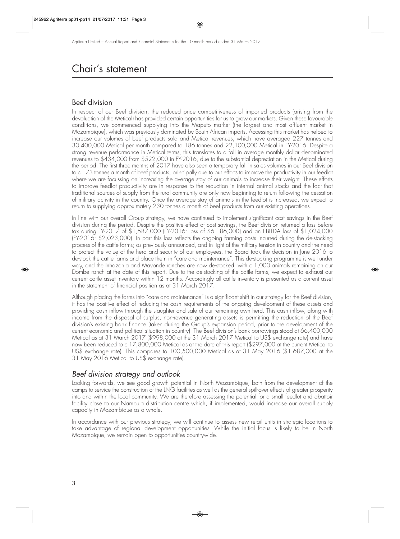## Chair's statement

### Beef division

In respect of our Beef division, the reduced price competitiveness of imported products (arising from the devaluation of the Metical) has provided certain opportunities for us to grow our markets. Given these favourable conditions, we commenced supplying into the Maputo market (the largest and most affluent market in Mozambique), which was previously dominated by South African imports. Accessing this market has helped to increase our volumes of beef products sold and Metical revenues, which have averaged 227 tonnes and 30,400,000 Metical per month compared to 186 tonnes and 22,100,000 Metical in FY-2016. Despite a strong revenue performance in Metical terms, this translates to a fall in average monthly dollar denominated revenues to \$434,000 from \$522,000 in FY-2016, due to the substantial depreciation in the Metical during the period. The first three months of 2017 have also seen a temporary fall in sales volumes in our Beef division to c 173 tonnes a month of beef products, principally due to our efforts to improve the productivity in our feedlot where we are focussing on increasing the average stay of our animals to increase their weight. These efforts to improve feedlot productivity are in response to the reduction in internal animal stocks and the fact that traditional sources of supply from the rural community are only now beginning to return following the cessation of military activity in the country. Once the average stay of animals in the feedlot is increased, we expect to return to supplying approximately 230 tonnes a month of beef products from our existing operations.

In line with our overall Group strategy, we have continued to implement significant cost savings in the Beef division during the period. Despite the positive effect of cost savings, the Beef division returned a loss before tax during FY-2017 of \$1,587,000 (FY-2016: loss of \$6,186,000) and an EBITDA loss of \$1,024,000 (FY-2016: \$2,023,000). In part this loss reflects the ongoing farming costs incurred during the de-stocking process of the cattle farms; as previously announced, and in light of the military tension in country and the need to protect the value of the herd and security of our employees, the Board took the decision in June 2016 to de-stock the cattle farms and place them in "care and maintenance". This de-stocking programme is well under way, and the Inhazonia and Mavonde ranches are now de-stocked, with c 1,000 animals remaining on our Dombe ranch at the date of this report. Due to the de-stocking of the cattle farms, we expect to exhaust our current cattle asset inventory within 12 months. Accordingly all cattle inventory is presented as a current asset in the statement of financial position as at 31 March 2017.

Although placing the farms into "care and maintenance" is a significant shift in our strategy for the Beef division, it has the positive effect of reducing the cash requirements of the ongoing development of these assets and providing cash inflow through the slaughter and sale of our remaining own herd. This cash inflow, along with income from the disposal of surplus, non-revenue generating assets is permitting the reduction of the Beef division's existing bank finance (taken during the Group's expansion period, prior to the development of the current economic and political situation in country). The Beef division's bank borrowings stood at 66,400,000 Metical as at 31 March 2017 (\$998,000 at the 31 March 2017 Metical to US\$ exchange rate) and have now been reduced to c 17,800,000 Metical as at the date of this report (\$297,000 at the current Metical to US\$ exchange rate). This compares to 100,500,000 Metical as at 31 May 2016 (\$1,687,000 at the 31 May 2016 Metical to US\$ exchange rate).

### Beef division strategy and outlook

Looking forwards, we see good growth potential in North Mozambique, both from the development of the camps to service the construction of the LNG facilities as well as the general spill-over effects of greater prosperity into and within the local community. We are therefore assessing the potential for a small feedlot and abattoir facility close to our Nampula distribution centre which, if implemented, would increase our overall supply capacity in Mozambique as a whole.

In accordance with our previous strategy, we will continue to assess new retail units in strategic locations to take advantage of regional development opportunities. While the initial focus is likely to be in North Mozambique, we remain open to opportunities countrywide.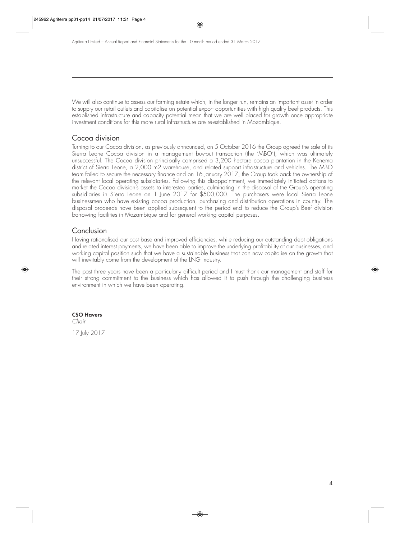We will also continue to assess our farming estate which, in the longer run, remains an important asset in order to supply our retail outlets and capitalise on potential export opportunities with high quality beef products. This established infrastructure and capacity potential mean that we are well placed for growth once appropriate investment conditions for this more rural infrastructure are re-established in Mozambique.

### Cocoa division

Turning to our Cocoa division, as previously announced, on 5 October 2016 the Group agreed the sale of its Sierra Leone Cocoa division in a management buy-out transaction (the 'MBO'), which was ultimately unsuccessful. The Cocoa division principally comprised a 3,200 hectare cocoa plantation in the Kenema district of Sierra Leone, a 2,000 m2 warehouse, and related support infrastructure and vehicles. The MBO team failed to secure the necessary finance and on 16 January 2017, the Group took back the ownership of the relevant local operating subsidiaries. Following this disappointment, we immediately initiated actions to market the Cocoa division's assets to interested parties, culminating in the disposal of the Group's operating subsidiaries in Sierra Leone on 1 June 2017 for \$500,000. The purchasers were local Sierra Leone businessmen who have existing cocoa production, purchasing and distribution operations in country. The disposal proceeds have been applied subsequent to the period end to reduce the Group's Beef division borrowing facilities in Mozambique and for general working capital purposes.

### Conclusion

Having rationalised our cost base and improved efficiencies, while reducing our outstanding debt obligations and related interest payments, we have been able to improve the underlying profitability of our businesses, and working capital position such that we have a sustainable business that can now capitalise on the growth that will inevitably come from the development of the LNG industry.

The past three years have been a particularly difficult period and I must thank our management and staff for their strong commitment to the business which has allowed it to push through the challenging business environment in which we have been operating.

#### **CSO Havers**

Chair

17 July 2017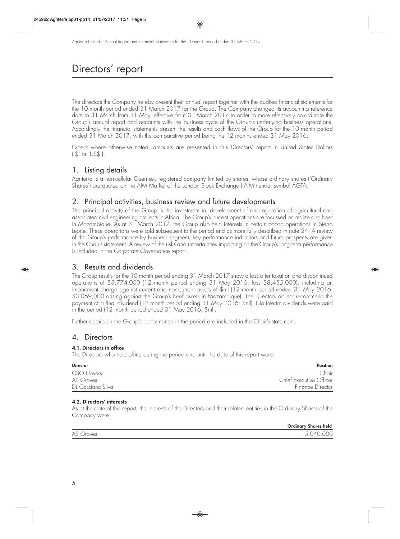## Directors' report

The directors the Company hereby present their annual report together with the audited financial statements for the 10 month period ended 31 March 2017 for the Group. The Company changed its accounting reference date to 31 March from 31 May, effective from 31 March 2017 in order to more effectively co-ordinate the Group's annual report and accounts with the business cycle of the Group's underlying business operations. Accordingly the financial statements present the results and cash flows of the Group for the 10 month period ended 31 March 2017, with the comparative period being the 12 months ended 31 May 2016.

Except where otherwise noted, amounts are presented in this Directors' report in United States Dollars ('\$' or 'US\$').

## 1. Listing details

Agriterra is a non-cellular Guernsey registered company limited by shares, whose ordinary shares ('Ordinary Shares') are quoted on the AIM Market of the London Stock Exchange ('AIM') under symbol AGTA.

## 2. Principal activities, business review and future developments

The principal activity of the Group is the investment in, development of and operation of agricultural and associated civil engineering projects in Africa. The Group's current operations are focussed on maize and beef in Mozambique. As at 31 March 2017, the Group also held interests in certain cocoa operations in Sierra Leone. These operations were sold subsequent to the period end as more fully described in note 24. A review of the Group's performance by business segment, key performance indicators and future prospects are given in the Chair's statement. A review of the risks and uncertainties impacting on the Group's long term performance is included in the Corporate Governance report.

## 3. Results and dividends

The Group results for the 10 month period ending 31 March 2017 show a loss after taxation and discontinued operations of \$3,774,000 (12 month period ending 31 May 2016: loss \$8,455,000), including an impairment charge against current and non-current assets of \$nil (12 month period ended 31 May 2016: \$3,069,000 arising against the Group's beef assets in Mozambique). The Directors do not recommend the payment of a final dividend (12 month period ending 31 May 2016: \$nil). No interim dividends were paid in the period (12 month period ended 31 May 2016: \$nil).

Further details on the Group's performance in the period are included in the Chair's statement.

### 4. Directors

#### **4.1. Directors in office**

The Directors who held office during the period and until the date of this report were:

| <b>Director</b>   | <b>Position</b>         |
|-------------------|-------------------------|
| CSO Havers        | Chair                   |
| AS Groves         | Chief Executive Officer |
| DL Cassiano-Silva | Finance Director        |

#### **4.2. Directors' interests**

As at the date of this report, the interests of the Directors and their related entities in the Ordinary Shares of the Company were:

|           | <b>Ordinary Shares held</b> |
|-----------|-----------------------------|
| AS Groves | $\Omega$<br>$\lambda$       |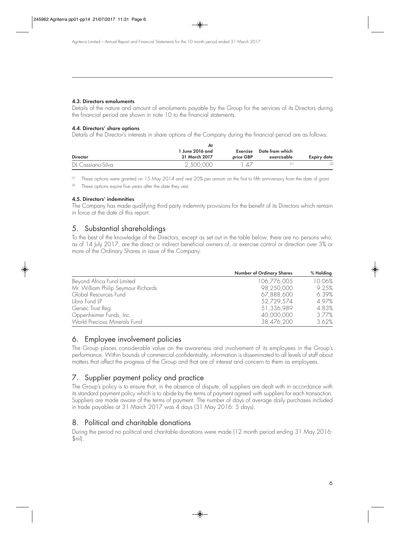#### **4.3. Directors emoluments**

Details of the nature and amount of emoluments payable by the Group for the services of its Directors during the financial period are shown in note 10 to the financial statements.

#### **4.4. Directors' share options**

Details of the Director's interests in share options of the Company during the financial period are as follows:

| <b>Director</b>   | 1 June 2016 and<br>31 March 2017 | Exercise<br>price GBP | Date from which<br>exercisable | <b>Expiry date</b> |
|-------------------|----------------------------------|-----------------------|--------------------------------|--------------------|
| DL Cassiano-Silva | 2,500,000                        | $\Delta/$             |                                | (2)                |

(1) These options were granted on 15 May 2014 and vest 20% per annum on the first to fifth anniversary from the date of grant.

These options expire five years after the date they vest.

#### **4.5. Directors' indemnities**

The Company has made qualifying third party indemnity provisions for the benefit of its Directors which remain in force at the date of this report.

### 5. Substantial shareholdings

To the best of the knowledge of the Directors, except as set out in the table below, there are no persons who, as of 14 July 2017, are the direct or indirect beneficial owners of, or exercise control or direction over 3% or more of the Ordinary Shares in issue of the Company.

|                                     | Number of Ordinary Shares | % Holding |
|-------------------------------------|---------------------------|-----------|
| Beyond Africa Fund Limited          | 106,776,005               | 10.06%    |
| Mr. William Philip Seymour Richards | 98,250,000                | 9.25%     |
| Global Resources Fund               | 67,888,600                | 6.39%     |
| Libra Fund LP                       | 52,729,574                | 4.97%     |
| Gersec Trust Reg.                   | 51,336,989                | 4.83%     |
| Oppenheimer Funds, Inc.             | 40,000,000                | 3.77%     |
| World Precious Minerals Fund        | 38,476,200                | 3.62%     |

### 6. Employee involvement policies

The Group places considerable value on the awareness and involvement of its employees in the Group's performance. Within bounds of commercial confidentiality, information is disseminated to all levels of staff about matters that affect the progress of the Group and that are of interest and concern to them as employees.

## 7. Supplier payment policy and practice

The Group's policy is to ensure that, in the absence of dispute, all suppliers are dealt with in accordance with its standard payment policy which is to abide by the terms of payment agreed with suppliers for each transaction. Suppliers are made aware of the terms of payment. The number of days of average daily purchases included in trade payables at 31 March 2017 was 4 days (31 May 2016: 5 days).

## 8. Political and charitable donations

During the period no political and charitable donations were made (12 month period ending 31 May 2016: \$nil).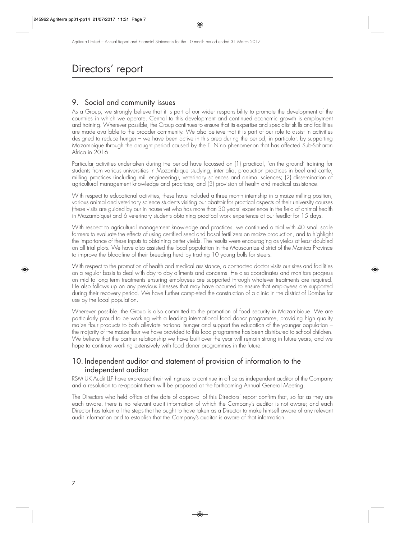## Directors' report

## 9. Social and community issues

As a Group, we strongly believe that it is part of our wider responsibility to promote the development of the countries in which we operate. Central to this development and continued economic growth is employment and training. Wherever possible, the Group continues to ensure that its expertise and specialist skills and facilities are made available to the broader community. We also believe that it is part of our role to assist in activities designed to reduce hunger – we have been active in this area during the period, in particular, by supporting Mozambique through the drought period caused by the El Nino phenomenon that has affected Sub-Saharan Africa in 2016.

Particular activities undertaken during the period have focussed on (1) practical, 'on the ground' training for students from various universities in Mozambique studying, inter alia, production practices in beef and cattle, milling practices (including mill engineering), veterinary sciences and animal sciences; (2) dissemination of agricultural management knowledge and practices; and (3) provision of health and medical assistance.

With respect to educational activities, these have included a three month internship in a maize milling position, various animal and veterinary science students visiting our abattoir for practical aspects of their university courses (these visits are guided by our in house vet who has more than 30 years' experience in the field of animal health in Mozambique) and 6 veterinary students obtaining practical work experience at our feedlot for 15 days.

With respect to agricultural management knowledge and practices, we continued a trial with 40 small scale farmers to evaluate the effects of using certified seed and basal fertilizers on maize production, and to highlight the importance of these inputs to obtaining better yields. The results were encouraging as yields at least doubled on all trial plots. We have also assisted the local population in the Mousourrize district of the Manica Province to improve the bloodline of their breeding herd by trading 10 young bulls for steers.

With respect to the promotion of health and medical assistance, a contracted doctor visits our sites and facilities on a regular basis to deal with day to day ailments and concerns. He also coordinates and monitors progress on mid to long term treatments ensuring employees are supported through whatever treatments are required. He also follows up on any previous illnesses that may have occurred to ensure that employees are supported during their recovery period. We have further completed the construction of a clinic in the district of Dombe for use by the local population.

Wherever possible, the Group is also committed to the promotion of food security in Mozambique. We are particularly proud to be working with a leading international food donor programme, providing high quality maize flour products to both alleviate national hunger and support the education of the younger population – the majority of the maize flour we have provided to this food programme has been distributed to school children. We believe that the partner relationship we have built over the year will remain strong in future years, and we hope to continue working extensively with food donor programmes in the future.

### 10. Independent auditor and statement of provision of information to the independent auditor

RSM UK Audit LLP have expressed their willingness to continue in office as independent auditor of the Company and a resolution to re-appoint them will be proposed at the forthcoming Annual General Meeting.

The Directors who held office at the date of approval of this Directors' report confirm that, so far as they are each aware, there is no relevant audit information of which the Company's auditor is not aware; and each Director has taken all the steps that he ought to have taken as a Director to make himself aware of any relevant audit information and to establish that the Company's auditor is aware of that information.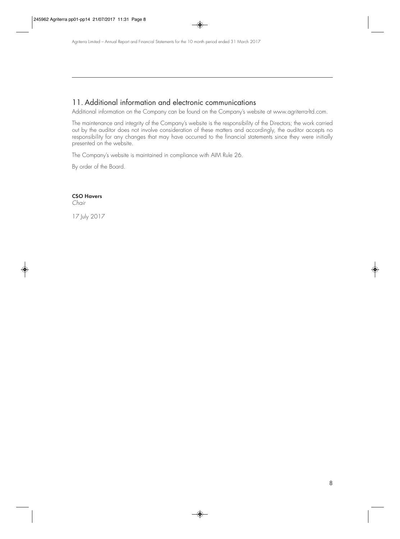### 11. Additional information and electronic communications

Additional information on the Company can be found on the Company's website at www.agriterra-ltd.com.

The maintenance and integrity of the Company's website is the responsibility of the Directors; the work carried out by the auditor does not involve consideration of these matters and accordingly, the auditor accepts no responsibility for any changes that may have occurred to the financial statements since they were initially presented on the website.

The Company's website is maintained in compliance with AIM Rule 26.

By order of the Board.

#### **CSO Havers**

Chair

17 July 2017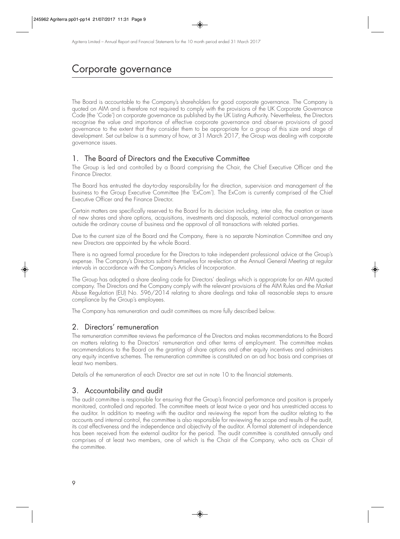## Corporate governance

The Board is accountable to the Company's shareholders for good corporate governance. The Company is quoted on AIM and is therefore not required to comply with the provisions of the UK Corporate Governance Code (the 'Code') on corporate governance as published by the UK Listing Authority. Nevertheless, the Directors recognise the value and importance of effective corporate governance and observe provisions of good governance to the extent that they consider them to be appropriate for a group of this size and stage of development. Set out below is a summary of how, at 31 March 2017, the Group was dealing with corporate governance issues.

### 1. The Board of Directors and the Executive Committee

The Group is led and controlled by a Board comprising the Chair, the Chief Executive Officer and the Finance Director.

The Board has entrusted the day-to-day responsibility for the direction, supervision and management of the business to the Group Executive Committee (the 'ExCom'). The ExCom is currently comprised of the Chief Executive Officer and the Finance Director.

Certain matters are specifically reserved to the Board for its decision including, inter alia, the creation or issue of new shares and share options, acquisitions, investments and disposals, material contractual arrangements outside the ordinary course of business and the approval of all transactions with related parties.

Due to the current size of the Board and the Company, there is no separate Nomination Committee and any new Directors are appointed by the whole Board.

There is no agreed formal procedure for the Directors to take independent professional advice at the Group's expense. The Company's Directors submit themselves for re-election at the Annual General Meeting at regular intervals in accordance with the Company's Articles of Incorporation.

The Group has adopted a share dealing code for Directors' dealings which is appropriate for an AIM quoted company. The Directors and the Company comply with the relevant provisions of the AIM Rules and the Market Abuse Regulation (EU) No. 596/2014 relating to share dealings and take all reasonable steps to ensure compliance by the Group's employees.

The Company has remuneration and audit committees as more fully described below.

### 2. Directors' remuneration

The remuneration committee reviews the performance of the Directors and makes recommendations to the Board on matters relating to the Directors' remuneration and other terms of employment. The committee makes recommendations to the Board on the granting of share options and other equity incentives and administers any equity incentive schemes. The remuneration committee is constituted on an ad hoc basis and comprises at least two members.

Details of the remuneration of each Director are set out in note 10 to the financial statements.

### 3. Accountability and audit

The audit committee is responsible for ensuring that the Group's financial performance and position is properly monitored, controlled and reported. The committee meets at least twice a year and has unrestricted access to the auditor. In addition to meeting with the auditor and reviewing the report from the auditor relating to the accounts and internal control, the committee is also responsible for reviewing the scope and results of the audit, its cost effectiveness and the independence and objectivity of the auditor. A formal statement of independence has been received from the external auditor for the period. The audit committee is constituted annually and comprises of at least two members, one of which is the Chair of the Company, who acts as Chair of the committee.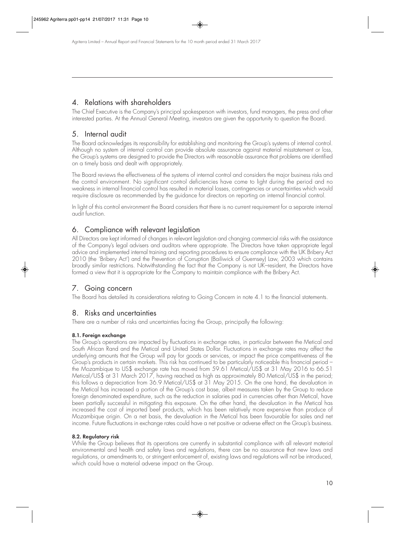## 4. Relations with shareholders

The Chief Executive is the Company's principal spokesperson with investors, fund managers, the press and other interested parties. At the Annual General Meeting, investors are given the opportunity to question the Board.

## 5. Internal audit

The Board acknowledges its responsibility for establishing and monitoring the Group's systems of internal control. Although no system of internal control can provide absolute assurance against material misstatement or loss, the Group's systems are designed to provide the Directors with reasonable assurance that problems are identified on a timely basis and dealt with appropriately.

The Board reviews the effectiveness of the systems of internal control and considers the major business risks and the control environment. No significant control deficiencies have come to light during the period and no weakness in internal financial control has resulted in material losses, contingencies or uncertainties which would require disclosure as recommended by the guidance for directors on reporting on internal financial control.

In light of this control environment the Board considers that there is no current requirement for a separate internal audit function.

## 6. Compliance with relevant legislation

All Directors are kept informed of changes in relevant legislation and changing commercial risks with the assistance of the Company's legal advisers and auditors where appropriate. The Directors have taken appropriate legal advice and implemented internal training and reporting procedures to ensure compliance with the UK Bribery Act 2010 (the 'Bribery Act') and the Prevention of Corruption (Bailiwick of Guernsey) Law, 2003 which contains broadly similar restrictions. Notwithstanding the fact that the Company is not UK–resident, the Directors have formed a view that it is appropriate for the Company to maintain compliance with the Bribery Act.

## 7. Going concern

The Board has detailed its considerations relating to Going Concern in note 4.1 to the financial statements.

## 8. Risks and uncertainties

There are a number of risks and uncertainties facing the Group, principally the following:

### **8.1. Foreign exchange**

The Group's operations are impacted by fluctuations in exchange rates, in particular between the Metical and South African Rand and the Metical and United States Dollar. Fluctuations in exchange rates may affect the underlying amounts that the Group will pay for goods or services, or impact the price competitiveness of the Group's products in certain markets. This risk has continued to be particularly noticeable this financial period – the Mozambique to US\$ exchange rate has moved from 59.61 Metical/US\$ at 31 May 2016 to 66.51 Metical/US\$ at 31 March 2017, having reached as high as approximately 80 Metical/US\$ in the period; this follows a depreciation from 36.9 Metical/US\$ at 31 May 2015. On the one hand, the devaluation in the Metical has increased a portion of the Group's cost base, albeit measures taken by the Group to reduce foreign denominated expenditure, such as the reduction in salaries pad in currencies other than Metical, have been partially successful in mitigating this exposure. On the other hand, the devaluation in the Metical has increased the cost of imported beef products, which has been relatively more expensive than produce of Mozambique origin. On a net basis, the devaluation in the Metical has been favourable for sales and net income. Future fluctuations in exchange rates could have a net positive or adverse effect on the Group's business.

### **8.2. Regulatory risk**

While the Group believes that its operations are currently in substantial compliance with all relevant material environmental and health and safety laws and regulations, there can be no assurance that new laws and regulations, or amendments to, or stringent enforcement of, existing laws and regulations will not be introduced, which could have a material adverse impact on the Group.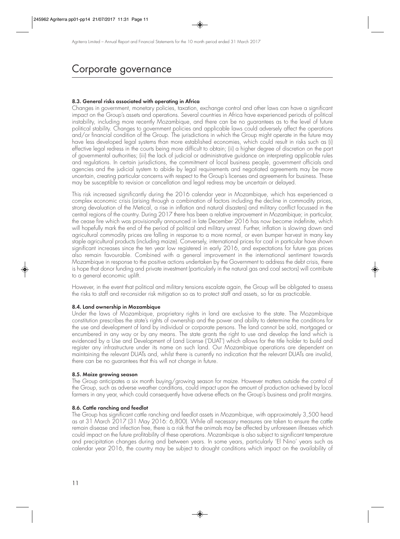## Corporate governance

#### **8.3. General risks associated with operating in Africa**

Changes in government, monetary policies, taxation, exchange control and other laws can have a significant impact on the Group's assets and operations. Several countries in Africa have experienced periods of political instability, including more recently Mozambique, and there can be no guarantees as to the level of future political stability. Changes to government policies and applicable laws could adversely affect the operations and/or financial condition of the Group. The jurisdictions in which the Group might operate in the future may have less developed legal systems than more established economies, which could result in risks such as (i) effective legal redress in the courts being more difficult to obtain; (ii) a higher degree of discretion on the part of governmental authorities; (iii) the lack of judicial or administrative guidance on interpreting applicable rules and regulations. In certain jurisdictions, the commitment of local business people, government officials and agencies and the judicial system to abide by legal requirements and negotiated agreements may be more uncertain, creating particular concerns with respect to the Group's licenses and agreements for business. These may be susceptible to revision or cancellation and legal redress may be uncertain or delayed.

This risk increased significantly during the 2016 calendar year in Mozambique, which has experienced a complex economic crisis (arising through a combination of factors including the decline in commodity prices, strong devaluation of the Metical, a rise in inflation and natural disasters) and military conflict focussed in the central regions of the country. During 2017 there has been a relative improvement in Mozambique; in particular, the cease fire which was provisionally announced in late December 2016 has now become indefinite, which will hopefully mark the end of the period of political and military unrest. Further, inflation is slowing down and agricultural commodity prices are falling in response to a more normal, or even bumper harvest in many key staple agricultural products (including maize). Conversely, international prices for coal in particular have shown significant increases since the ten year low registered in early 2016, and expectations for future gas prices also remain favourable. Combined with a general improvement in the international sentiment towards Mozambique in response to the positive actions undertaken by the Government to address the debt crisis, there is hope that donor funding and private investment (particularly in the natural gas and coal sectors) will contribute to a general economic uplift.

However, in the event that political and military tensions escalate again, the Group will be obligated to assess the risks to staff and re-consider risk mitigation so as to protect staff and assets, so far as practicable.

#### **8.4. Land ownership in Mozambique**

Under the laws of Mozambique, proprietary rights in land are exclusive to the state. The Mozambique constitution prescribes the state's rights of ownership and the power and ability to determine the conditions for the use and development of land by individual or corporate persons. The land cannot be sold, mortgaged or encumbered in any way or by any means. The state grants the right to use and develop the land which is evidenced by a Use and Development of Land License ('DUAT') which allows for the title holder to build and register any infrastructure under its name on such land. Our Mozambique operations are dependent on maintaining the relevant DUATs and, whilst there is currently no indication that the relevant DUATs are invalid, there can be no guarantees that this will not change in future.

#### **8.5. Maize growing season**

The Group anticipates a six month buying/growing season for maize. However matters outside the control of the Group, such as adverse weather conditions, could impact upon the amount of production achieved by local farmers in any year, which could consequently have adverse effects on the Group's business and profit margins.

#### **8.6. Cattle ranching and feedlot**

The Group has significant cattle ranching and feedlot assets in Mozambique, with approximately 3,500 head as at 31 March 2017 (31 May 2016: 6,800). While all necessary measures are taken to ensure the cattle remain disease and infection free, there is a risk that the animals may be affected by unforeseen illnesses which could impact on the future profitability of these operations. Mozambique is also subject to significant temperature and precipitation changes during and between years. In some years, particularly 'El Nino' years such as calendar year 2016, the country may be subject to drought conditions which impact on the availability of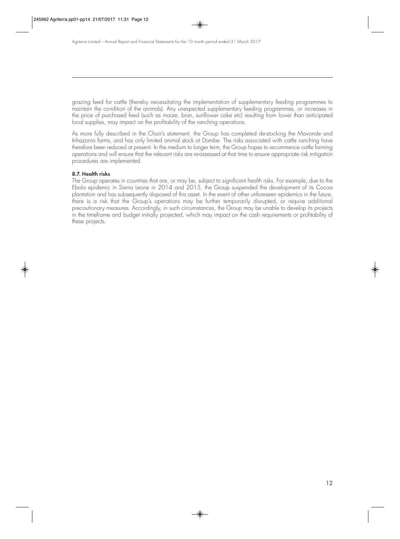grazing feed for cattle (thereby necessitating the implementation of supplementary feeding programmes to maintain the condition of the animals). Any unexpected supplementary feeding programmes, or increases in the price of purchased feed (such as maize, bran, sunflower cake etc) resulting from lower than anticipated local supplies, may impact on the profitability of the ranching operations.

As more fully described in the Chair's statement, the Group has completed de-stocking the Mavonde and Inhazonia farms, and has only limited animal stock at Dombe. The risks associated with cattle ranching have therefore been reduced at present. In the medium to longer term, the Group hopes to recommence cattle farming operations and will ensure that the relevant risks are re-assessed at that time to ensure appropriate risk mitigation procedures are implemented.

#### **8.7. Health risks**

The Group operates in countries that are, or may be, subject to significant health risks. For example, due to the Ebola epidemic in Sierra Leone in 2014 and 2015, the Group suspended the development of its Cocoa plantation and has subsequently disposed of this asset. In the event of other unforeseen epidemics in the future, there is a risk that the Group's operations may be further temporarily disrupted, or require additional precautionary measures. Accordingly, in such circumstances, the Group may be unable to develop its projects in the timeframe and budget initially projected, which may impact on the cash requirements or profitability of these projects.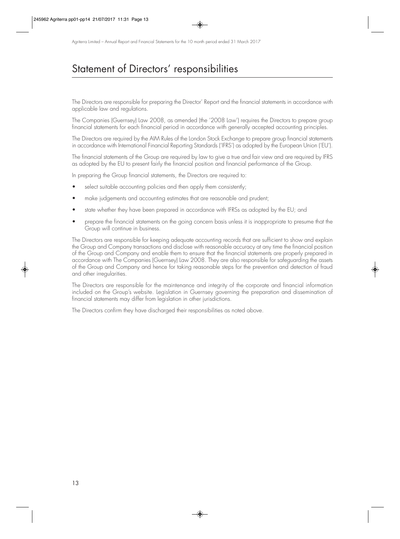## Statement of Directors' responsibilities

The Directors are responsible for preparing the Director' Report and the financial statements in accordance with applicable law and regulations.

The Companies (Guernsey) Law 2008, as amended (the '2008 Law') requires the Directors to prepare group financial statements for each financial period in accordance with generally accepted accounting principles.

The Directors are required by the AIM Rules of the London Stock Exchange to prepare group financial statements in accordance with International Financial Reporting Standards ('IFRS') as adopted by the European Union ('EU').

The financial statements of the Group are required by law to give a true and fair view and are required by IFRS as adopted by the EU to present fairly the financial position and financial performance of the Group.

In preparing the Group financial statements, the Directors are required to:

- select suitable accounting policies and then apply them consistently;
- make judgements and accounting estimates that are reasonable and prudent;
- state whether they have been prepared in accordance with IFRSs as adopted by the EU; and
- prepare the financial statements on the going concern basis unless it is inappropriate to presume that the Group will continue in business.

The Directors are responsible for keeping adequate accounting records that are sufficient to show and explain the Group and Company transactions and disclose with reasonable accuracy at any time the financial position of the Group and Company and enable them to ensure that the financial statements are properly prepared in accordance with The Companies (Guernsey) Law 2008. They are also responsible for safeguarding the assets of the Group and Company and hence for taking reasonable steps for the prevention and detection of fraud and other irregularities.

The Directors are responsible for the maintenance and integrity of the corporate and financial information included on the Group's website. Legislation in Guernsey governing the preparation and dissemination of financial statements may differ from legislation in other jurisdictions.

The Directors confirm they have discharged their responsibilities as noted above.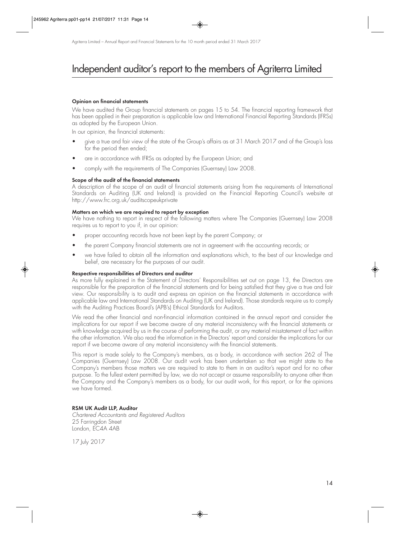## Independent auditor's report to the members of Agriterra Limited

#### **Opinion on financial statements**

We have audited the Group financial statements on pages 15 to 54. The financial reporting framework that has been applied in their preparation is applicable law and International Financial Reporting Standards (IFRSs) as adopted by the European Union.

In our opinion, the financial statements:

- give a true and fair view of the state of the Group's affairs as at 31 March 2017 and of the Group's loss for the period then ended;
- are in accordance with IFRSs as adopted by the European Union; and
- comply with the requirements of The Companies (Guernsey) Law 2008.

#### **Scope of the audit of the financial statements**

A description of the scope of an audit of financial statements arising from the requirements of International Standards on Auditing (UK and Ireland) is provided on the Financial Reporting Council's website at http://www.frc.org.uk/auditscopeukprivate

#### **Matters on which we are required to report by exception**

We have nothing to report in respect of the following matters where The Companies (Guernsey) Law 2008 requires us to report to you if, in our opinion:

- proper accounting records have not been kept by the parent Company; or
- the parent Company financial statements are not in agreement with the accounting records; or
- we have failed to obtain all the information and explanations which, to the best of our knowledge and belief, are necessary for the purposes of our audit.

#### **Respective responsibilities of Directors and auditor**

As more fully explained in the Statement of Directors' Responsibilities set out on page 13, the Directors are responsible for the preparation of the financial statements and for being satisfied that they give a true and fair view. Our responsibility is to audit and express an opinion on the financial statements in accordance with applicable law and International Standards on Auditing (UK and Ireland). Those standards require us to comply with the Auditing Practices Board's (APB's) Ethical Standards for Auditors.

We read the other financial and non-financial information contained in the annual report and consider the implications for our report if we become aware of any material inconsistency with the financial statements or with knowledge acquired by us in the course of performing the audit, or any material misstatement of fact within the other information. We also read the information in the Directors' report and consider the implications for our report if we become aware of any material inconsistency with the financial statements.

This report is made solely to the Company's members, as a body, in accordance with section 262 of The Companies (Guernsey) Law 2008. Our audit work has been undertaken so that we might state to the Company's members those matters we are required to state to them in an auditor's report and for no other purpose. To the fullest extent permitted by law, we do not accept or assume responsibility to anyone other than the Company and the Company's members as a body, for our audit work, for this report, or for the opinions we have formed.

#### **RSM UK Audit LLP, Auditor**

Chartered Accountants and Registered Auditors 25 Farringdon Street London, EC4A 4AB

17 July 2017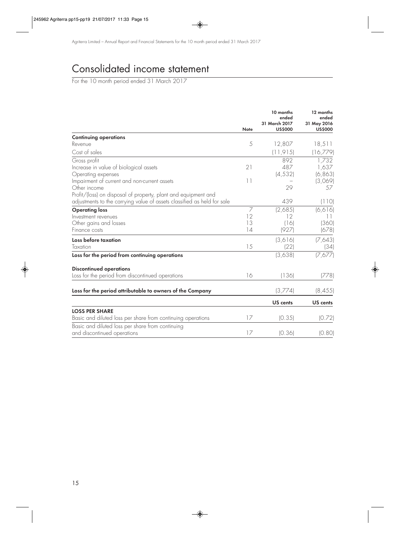## Consolidated income statement

For the 10 month period ended 31 March 2017

|                                                                         |               | 10 months<br>ended<br>31 March 2017 | 12 months<br>ended<br>31 May 2016 |
|-------------------------------------------------------------------------|---------------|-------------------------------------|-----------------------------------|
|                                                                         | <b>Note</b>   | <b>US\$000</b>                      | <b>US\$000</b>                    |
| <b>Continuing operations</b>                                            |               |                                     |                                   |
| Revenue                                                                 | 5             | 12,807                              | 18,511                            |
| Cost of sales                                                           |               | (11, 915)                           | (16,779)                          |
| Gross profit                                                            |               | 892                                 | 1,732                             |
| Increase in value of biological assets                                  | 21            | 487                                 | 1,637                             |
| Operating expenses                                                      |               | (4, 532)                            | (6, 863)                          |
| Impairment of current and non-current assets                            | $\vert \vert$ |                                     | (3,069)                           |
| Other income                                                            |               | 29                                  | 57                                |
| Profit/(loss) on disposal of property, plant and equipment and          |               |                                     |                                   |
| adjustments to the carrying value of assets classified as held for sale |               | 439                                 | (110)                             |
| <b>Operating loss</b>                                                   | 7             | (2,685)                             | (6, 616)                          |
| Investment revenues                                                     | 12            | 12                                  | $\overline{11}$                   |
| Other gains and losses                                                  | 13            | (16)                                | (360)                             |
| Finance costs                                                           | 14            | (927)                               | (678)                             |
| Loss before taxation                                                    |               | (3,616)                             | (7,643)                           |
| Taxation                                                                | 15            | (22)                                | (34)                              |
| Loss for the period from continuing operations                          |               | (3,638)                             | (7,677)                           |
| <b>Discontinued operations</b>                                          |               |                                     |                                   |
| Loss for the period from discontinued operations                        | 16            | (136)                               | (778)                             |
| Loss for the period attributable to owners of the Company               |               | (3,774)                             | (8, 455)                          |
|                                                                         |               | US cents                            | US cents                          |
| <b>LOSS PER SHARE</b>                                                   |               |                                     |                                   |
| Basic and diluted loss per share from continuing operations             | 17            | (0.35)                              | (0.72)                            |
| Basic and diluted loss per share from continuing                        |               |                                     |                                   |
| and discontinued operations                                             | 17            | (0.36)                              | (0.80)                            |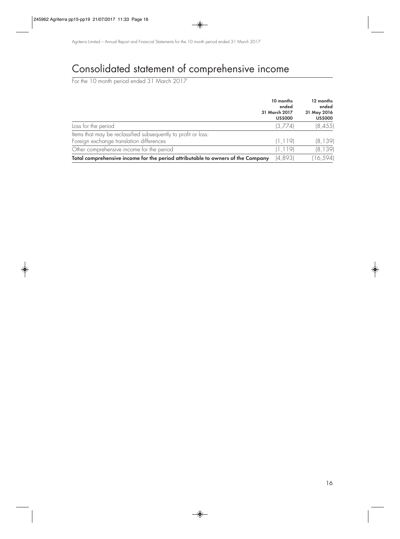## Consolidated statement of comprehensive income

For the 10 month period ended 31 March 2017

|                                                                                                            | 10 months<br>ended<br>31 March 2017<br><b>US\$000</b> | 12 months<br>ended<br>31 May 2016<br><b>US\$000</b> |
|------------------------------------------------------------------------------------------------------------|-------------------------------------------------------|-----------------------------------------------------|
| Loss for the period                                                                                        | (3,774)                                               | (8, 455)                                            |
| Items that may be reclassified subsequently to profit or loss:<br>Foreign exchange translation differences | (1, 119)                                              | (8, 139)                                            |
| Other comprehensive income for the period                                                                  | (1, 119)                                              | (8, 139)                                            |
| Total comprehensive income for the period attributable to owners of the Company                            | (4,893)                                               | (16, 594)                                           |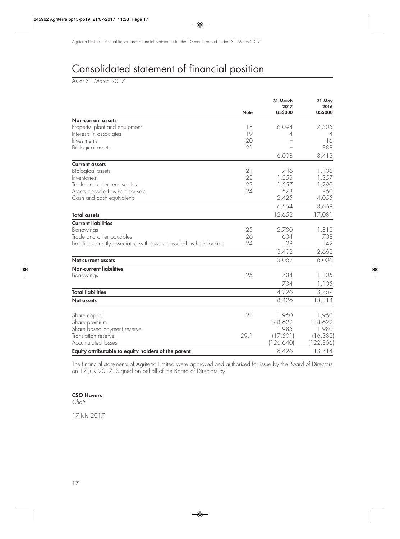## Consolidated statement of financial position

As at 31 March 2017

|                                                                         | <b>Note</b> | 31 March<br>2017<br><b>US\$000</b> | 31 May<br>2016<br><b>US\$000</b> |
|-------------------------------------------------------------------------|-------------|------------------------------------|----------------------------------|
| <b>Non-current assets</b>                                               |             |                                    |                                  |
| Property, plant and equipment                                           | 18          | 6,094                              | 7,505                            |
| Interests in associates                                                 | 19          | 4                                  | 4                                |
| Investments                                                             | 20          |                                    | 16                               |
| Biological assets                                                       | 21          |                                    | 888                              |
|                                                                         |             | 6,098                              | 8,413                            |
| <b>Current assets</b>                                                   |             |                                    |                                  |
| Biological assets                                                       | 21          | 746                                | 1,106                            |
| Inventories                                                             | 22          | 1,253                              | 1,357                            |
| Trade and other receivables                                             | 23          | 1,557                              | 1,290                            |
| Assets classified as held for sale                                      | 24          | 573                                | 860                              |
| Cash and cash equivalents                                               |             | 2,425                              | 4,055                            |
|                                                                         |             | 6,554                              | 8,668                            |
| <b>Total assets</b>                                                     |             | 12,652                             | 17,081                           |
| <b>Current liabilities</b>                                              |             |                                    |                                  |
| Borrowings                                                              | 25          | 2,730                              | 1,812                            |
| Trade and other payables                                                | 26          | 634                                | 708                              |
| Liabilities directly associated with assets classified as held for sale | 24          | 128                                | 142                              |
|                                                                         |             | 3,492                              | 2,662                            |
| <b>Net current assets</b>                                               |             | 3,062                              | 6,006                            |
| <b>Non-current liabilities</b>                                          |             |                                    |                                  |
| Borrowings                                                              | 25          | 734                                | 1,105                            |
|                                                                         |             | 734                                | 1,105                            |
| <b>Total liabilities</b>                                                |             | 4,226                              | 3,767                            |
| <b>Net assets</b>                                                       |             | 8,426                              | 13,314                           |
| Share capital                                                           | 28          | 1,960                              | 1,960                            |
| Share premium                                                           |             | 148,622                            | 148,622                          |
|                                                                         |             | 1,985                              | 1,980                            |
| Share based payment reserve<br>Translation reserve                      | 29.1        | (17, 501)                          | (16, 382)                        |
| <b>Accumulated losses</b>                                               |             |                                    | (122, 866)                       |
|                                                                         |             | (126, 640)                         |                                  |
| Equity attributable to equity holders of the parent                     |             | 8,426                              | 13,314                           |

The financial statements of Agriterra Limited were approved and authorised for issue by the Board of Directors on 17 July 2017. Signed on behalf of the Board of Directors by:

#### **CSO Havers**

Chair

17 July 2017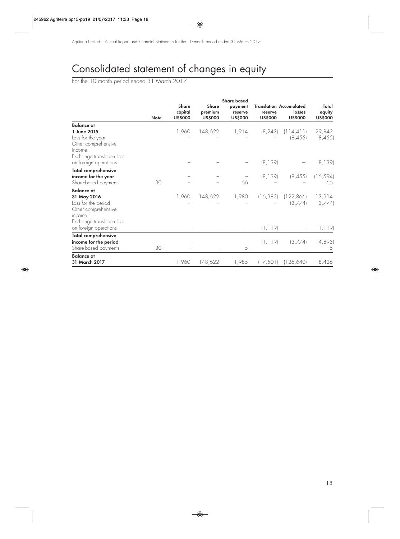## Consolidated statement of changes in equity

For the 10 month period ended 31 March 2017

|                            | <b>Share based</b> |                                           |                                    |                                      |                           |                                                            |                                   |
|----------------------------|--------------------|-------------------------------------------|------------------------------------|--------------------------------------|---------------------------|------------------------------------------------------------|-----------------------------------|
|                            | <b>Note</b>        | <b>Share</b><br>capital<br><b>US\$000</b> | Share<br>premium<br><b>US\$000</b> | payment<br>reserve<br><b>US\$000</b> | reserve<br><b>US\$000</b> | <b>Translation Accumulated</b><br>losses<br><b>US\$000</b> | Total<br>equity<br><b>US\$000</b> |
| Balance at                 |                    |                                           |                                    |                                      |                           |                                                            |                                   |
| 1 June 2015                |                    | 1,960                                     | 148,622                            | 1,914                                | (8, 243)                  | (114, 411)                                                 | 29,842                            |
| Loss for the year          |                    |                                           |                                    |                                      |                           | (8, 455)                                                   | (8, 455)                          |
| Other comprehensive        |                    |                                           |                                    |                                      |                           |                                                            |                                   |
| income:                    |                    |                                           |                                    |                                      |                           |                                                            |                                   |
| Exchange translation loss  |                    |                                           |                                    |                                      |                           |                                                            |                                   |
| on foreign operations      |                    |                                           |                                    |                                      | (8, 139)                  |                                                            | (8, 139)                          |
| <b>Total comprehensive</b> |                    |                                           |                                    |                                      |                           |                                                            |                                   |
| income for the year        |                    |                                           |                                    |                                      | (8, 139)                  | (8, 455)                                                   | (16, 594)                         |
| Share-based payments       | 30                 |                                           |                                    | 66                                   |                           |                                                            | 66                                |
| <b>Balance at</b>          |                    |                                           |                                    |                                      |                           |                                                            |                                   |
| 31 May 2016                |                    | 1,960                                     | 148,622                            | 1,980                                | (16, 382)                 | (122, 866)                                                 | 13,314                            |
| Loss for the period        |                    |                                           |                                    |                                      |                           | (3,774)                                                    | (3,774)                           |
| Other comprehensive        |                    |                                           |                                    |                                      |                           |                                                            |                                   |
| income:                    |                    |                                           |                                    |                                      |                           |                                                            |                                   |
| Exchange translation loss  |                    |                                           |                                    |                                      |                           |                                                            |                                   |
| on foreign operations      |                    |                                           |                                    |                                      | (1, 119)                  |                                                            | (1, 119)                          |
| <b>Total comprehensive</b> |                    |                                           |                                    |                                      |                           |                                                            |                                   |
| income for the period      |                    |                                           |                                    |                                      | (1, 119)                  | (3,774)                                                    | (4,893)                           |
| Share-based payments       | 30                 |                                           |                                    | 5                                    |                           |                                                            |                                   |
| <b>Balance</b> at          |                    |                                           |                                    |                                      |                           |                                                            |                                   |
| 31 March 2017              |                    | 1,960                                     | 148,622                            | 1,985                                | (17, 501)                 | (126,640)                                                  | 8,426                             |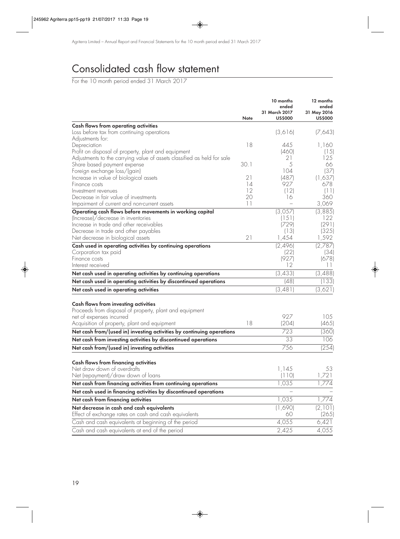## Consolidated cash flow statement

For the 10 month period ended 31 March 2017

|                                                                                                 | Note    | 10 months<br>ended<br>31 March 2017<br><b>US\$000</b> | 12 months<br>ended<br>31 May 2016<br><b>US\$000</b> |
|-------------------------------------------------------------------------------------------------|---------|-------------------------------------------------------|-----------------------------------------------------|
| <b>Cash flows from operating activities</b>                                                     |         |                                                       |                                                     |
| Loss before tax from continuing operations                                                      |         | (3,616)                                               | (7,643)                                             |
| Adjustments for:                                                                                |         |                                                       |                                                     |
| Depreciation                                                                                    | 18      | 445                                                   | 1,160                                               |
| Profit on disposal of property, plant and equipment                                             |         | (460)                                                 | (15)                                                |
| Adjustments to the carrying value of assets classified as held for sale                         |         | 21                                                    | 25                                                  |
| Share based payment expense                                                                     | 30.1    | 5                                                     | 66                                                  |
| Foreign exchange loss/(gain)                                                                    | 21      | 104                                                   | (37)                                                |
| Increase in value of biological assets<br>Finance costs                                         | 14      | (487)<br>927                                          | (1,637)<br>678                                      |
| Investment revenues                                                                             | 12      | (12)                                                  | (11)                                                |
| Decrease in fair value of investments                                                           | 20      | 16                                                    | 360                                                 |
| Impairment of current and non-current assets                                                    | $  \  $ |                                                       | 3,069                                               |
| Operating cash flows before movements in working capital                                        |         | (3,057)                                               | (3,885)                                             |
| (Increase)/decrease in inventories                                                              |         | (151)                                                 | 122                                                 |
| Increase in trade and other receivables                                                         |         | (729)                                                 | (291)                                               |
| Decrease in trade and other payables                                                            |         | (13)                                                  | (325)                                               |
| Net decrease in biological assets                                                               | 21      | 1,454                                                 | 1,592                                               |
| Cash used in operating activities by continuing operations                                      |         | (2,496)                                               | (2,787)                                             |
| Corporation tax paid                                                                            |         | (22)                                                  | (34)                                                |
| Finance costs                                                                                   |         | (927)                                                 | (678)                                               |
| Interest received                                                                               |         | 12                                                    | 11                                                  |
| Net cash used in operating activities by continuing operations                                  |         | (3, 433)                                              | (3,488)                                             |
| Net cash used in operating activities by discontinued operations                                |         | (48)                                                  | (133)                                               |
| Net cash used in operating activities                                                           |         | (3, 481)                                              | (3,621)                                             |
|                                                                                                 |         |                                                       |                                                     |
| Cash flows from investing activities<br>Proceeds from disposal of property, plant and equipment |         |                                                       |                                                     |
| net of expenses incurred                                                                        |         | 927                                                   | 105                                                 |
| Acquisition of property, plant and equipment                                                    | 18      | (204)                                                 | (465)                                               |
| Net cash from/(used in) investing activities by continuing operations                           |         | 723                                                   | (360)                                               |
| Net cash from investing activities by discontinued operations                                   |         | 33                                                    | 106                                                 |
| Net cash from/(used in) investing activities                                                    |         | 756                                                   | (254)                                               |
|                                                                                                 |         |                                                       |                                                     |
| <b>Cash flows from financing activities</b>                                                     |         |                                                       |                                                     |
| Net draw down of overdrafts                                                                     |         | 1,145                                                 | 53                                                  |
| Net (repayment)/draw down of loans                                                              |         | (110)                                                 | 1,721                                               |
| Net cash from financing activities from continuing operations                                   |         | 1,035                                                 | 1,774                                               |
| Net cash used in financing activities by discontinued operations                                |         |                                                       |                                                     |
| Net cash from financing activities                                                              |         | 1,035                                                 | 1,774                                               |
| Net decrease in cash and cash equivalents                                                       |         | (1,690)                                               | (2, 101)                                            |
| Effect of exchange rates on cash and cash equivalents                                           |         | 60                                                    | (265)                                               |
| Cash and cash equivalents at beginning of the period                                            |         | 4,055                                                 | 6,421                                               |
| Cash and cash equivalents at end of the period                                                  |         | 2,425                                                 | 4,055                                               |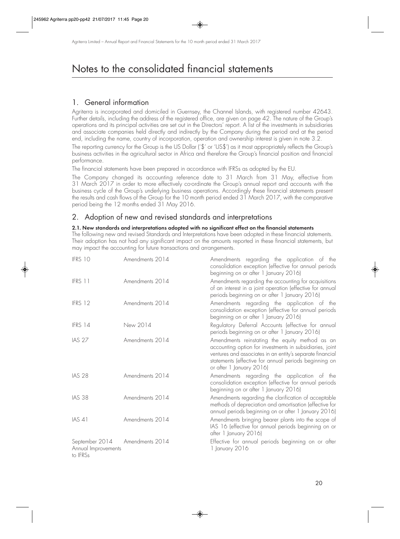## 1. General information

Agriterra is incorporated and domiciled in Guernsey, the Channel Islands, with registered number 42643. Further details, including the address of the registered office, are given on page 42. The nature of the Group's operations and its principal activities are set out in the Directors' report. A list of the investments in subsidiaries and associate companies held directly and indirectly by the Company during the period and at the period end, including the name, country of incorporation, operation and ownership interest is given in note 3.2.

The reporting currency for the Group is the US Dollar ('\$' or 'US\$') as it most appropriately reflects the Group's business activities in the agricultural sector in Africa and therefore the Group's financial position and financial performance.

The financial statements have been prepared in accordance with IFRSs as adopted by the EU.

The Company changed its accounting reference date to 31 March from 31 May, effective from 31 March 2017 in order to more effectively co-ordinate the Group's annual report and accounts with the business cycle of the Group's underlying business operations. Accordingly these financial statements present the results and cash flows of the Group for the 10 month period ended 31 March 2017, with the comparative period being the 12 months ended 31 May 2016.

## 2. Adoption of new and revised standards and interpretations

#### **2.1. New standards and interpretations adopted with no significant effect on the financial statements**

The following new and revised Standards and Interpretations have been adopted in these financial statements. Their adoption has not had any significant impact on the amounts reported in these financial statements, but may impact the accounting for future transactions and arrangements.

| IFRS 10                                           | Amendments 2014 | Amendments regarding the application of the<br>consolidation exception (effective for annual periods<br>beginning on or after 1 January 2016)                                                                                                                |
|---------------------------------------------------|-----------------|--------------------------------------------------------------------------------------------------------------------------------------------------------------------------------------------------------------------------------------------------------------|
| IFRS 11                                           | Amendments 2014 | Amendments regarding the accounting for acquisitions<br>of an interest in a joint operation (effective for annual<br>periods beginning on or after 1 January 2016)                                                                                           |
| IFRS 12                                           | Amendments 2014 | Amendments regarding the application of the<br>consolidation exception (effective for annual periods<br>beginning on or after 1 January 2016)                                                                                                                |
| IFRS 14                                           | New 2014        | Regulatory Deferral Accounts (effective for annual<br>periods beginning on or after 1 January 2016)                                                                                                                                                          |
| <b>IAS 27</b>                                     | Amendments 2014 | Amendments reinstating the equity method as an<br>accounting option for investments in subsidiaries, joint<br>ventures and associates in an entity's separate financial<br>statements (effective for annual periods beginning on<br>or after 1 January 2016) |
| <b>IAS 28</b>                                     | Amendments 2014 | Amendments regarding the application of the<br>consolidation exception (effective for annual periods<br>beginning on or after 1 January 2016)                                                                                                                |
| <b>IAS 38</b>                                     | Amendments 2014 | Amendments regarding the clarification of acceptable<br>methods of depreciation and amortisation (effective for<br>annual periods beginning on or after 1 January 2016)                                                                                      |
| <b>IAS 41</b>                                     | Amendments 2014 | Amendments bringing bearer plants into the scope of<br>IAS 16 (effective for annual periods beginning on or<br>after 1 January 2016)                                                                                                                         |
| September 2014<br>Annual Improvements<br>to IFRSs | Amendments 2014 | Effective for annual periods beginning on or after<br>1 January 2016                                                                                                                                                                                         |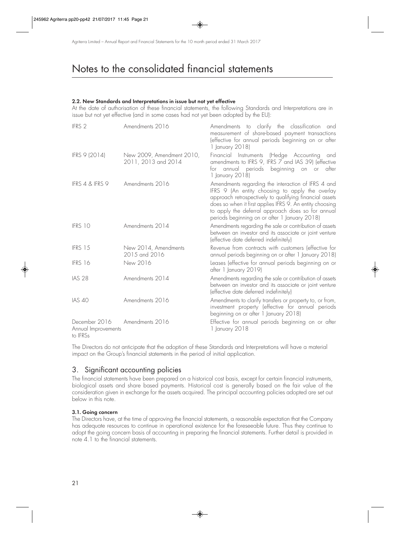#### **2.2. New Standards and Interpretations in issue but not yet effective**

At the date of authorisation of these financial statements, the following Standards and Interpretations are in issue but not yet effective (and in some cases had not yet been adopted by the EU):

| IFRS <sub>2</sub>                                | Amendments 2016                                  | Amendments to clarify the classification and<br>measurement of share-based payment transactions<br>(effective for annual periods beginning on or after<br>1 January 2018)                                                                                                                                                          |
|--------------------------------------------------|--------------------------------------------------|------------------------------------------------------------------------------------------------------------------------------------------------------------------------------------------------------------------------------------------------------------------------------------------------------------------------------------|
| IFRS 9 (2014)                                    | New 2009, Amendment 2010,<br>2011, 2013 and 2014 | Financial Instruments (Hedge Accounting and<br>amendments to IFRS 9, IFRS 7 and IAS 39) (effective<br>for annual periods<br>beginning<br>on or<br>atter<br>1 January 2018)                                                                                                                                                         |
| IFRS 4 & IFRS 9                                  | Amendments 2016                                  | Amendments regarding the interaction of IFRS 4 and<br>IFRS 9 (An entity choosing to apply the overlay<br>approach retrospectively to qualifying financial assets<br>does so when it first applies IFRS 9. An entity choosing<br>to apply the deferral approach does so for annual<br>periods beginning on or after 1 January 2018) |
| IFRS 10                                          | Amendments 2014                                  | Amendments regarding the sale or contribution of assets<br>between an investor and its associate or joint venture<br>(effective date deferred indefinitely)                                                                                                                                                                        |
| IFRS 15                                          | New 2014, Amendments<br>2015 and 2016            | Revenue from contracts with customers (effective for<br>annual periods beginning on or after 1 January 2018)                                                                                                                                                                                                                       |
| IFRS 16                                          | New 2016                                         | Leases (effective for annual periods beginning on or<br>after 1 January 2019)                                                                                                                                                                                                                                                      |
| <b>IAS 28</b>                                    | Amendments 2014                                  | Amendments regarding the sale or contribution of assets<br>between an investor and its associate or joint venture<br>(effective date deferred indefinitely)                                                                                                                                                                        |
| <b>IAS 40</b>                                    | Amendments 2016                                  | Amendments to clarify transfers or property to, or from,<br>investment property (effective for annual periods<br>beginning on or after 1 January 2018)                                                                                                                                                                             |
| December 2016<br>Annual Improvements<br>to IFRSs | Amendments 2016                                  | Effective for annual periods beginning on or after<br>1 January 2018                                                                                                                                                                                                                                                               |

The Directors do not anticipate that the adoption of these Standards and Interpretations will have a material impact on the Group's financial statements in the period of initial application.

## 3. Significant accounting policies

The financial statements have been prepared on a historical cost basis, except for certain financial instruments, biological assets and share based payments. Historical cost is generally based on the fair value of the consideration given in exchange for the assets acquired. The principal accounting policies adopted are set out below in this note.

#### **3.1. Going concern**

The Directors have, at the time of approving the financial statements, a reasonable expectation that the Company has adequate resources to continue in operational existence for the foreseeable future. Thus they continue to adopt the going concern basis of accounting in preparing the financial statements. Further detail is provided in note 4.1 to the financial statements.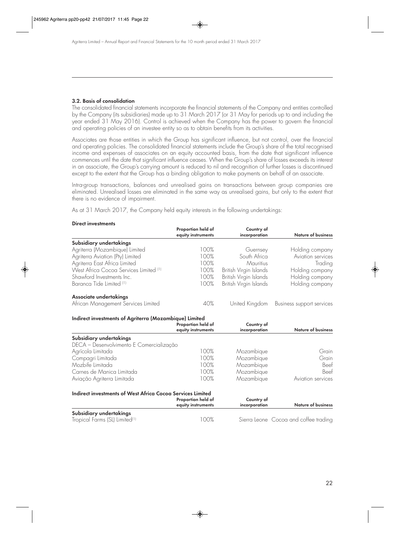#### **3.2. Basis of consolidation**

The consolidated financial statements incorporate the financial statements of the Company and entities controlled by the Company (its subsidiaries) made up to 31 March 2017 (or 31 May for periods up to and including the year ended 31 May 2016). Control is achieved when the Company has the power to govern the financial and operating policies of an investee entity so as to obtain benefits from its activities.

Associates are those entities in which the Group has significant influence, but not control, over the financial and operating policies. The consolidated financial statements include the Group's share of the total recognised income and expenses of associates on an equity accounted basis, from the date that significant influence commences until the date that significant influence ceases. When the Group's share of losses exceeds its interest in an associate, the Group's carrying amount is reduced to nil and recognition of further losses is discontinued except to the extent that the Group has a binding obligation to make payments on behalf of an associate.

Intra-group transactions, balances and unrealised gains on transactions between group companies are eliminated. Unrealised losses are eliminated in the same way as unrealised gains, but only to the extent that there is no evidence of impairment.

As at 31 March 2017, the Company held equity interests in the following undertakings:

#### **Direct investments**

|                                                                   | Proportion held of<br>equity instruments | Country of<br>incorporation | <b>Nature of business</b>             |
|-------------------------------------------------------------------|------------------------------------------|-----------------------------|---------------------------------------|
| Subsidiary undertakings                                           |                                          |                             |                                       |
| Agriterra (Mozambique) Limited                                    | 100%                                     | Guernsey                    | Holding company                       |
| Agriterra Aviation (Pty) Limited                                  | 100%                                     | South Africa                | Aviation services                     |
| Agriterra East Africa Limited                                     | 100%                                     | Mauritius                   | Trading                               |
| West Africa Cocoa Services Limited <sup>(1)</sup>                 | 100%                                     | British Virgin Islands      | Holding company                       |
| Shawford Investments Inc.                                         | 100%                                     | British Virgin Islands      | Holding company                       |
| Baranca Tide Limited (1)                                          | 100%                                     | British Virgin Islands      | Holding company                       |
| Associate undertakings                                            |                                          |                             |                                       |
| African Management Services Limited                               | 40%                                      | United Kingdom              | Business support services             |
| Indirect investments of Agriterra (Mozambique) Limited            | Proportion held of<br>equity instruments | Country of<br>incorporation | <b>Nature of business</b>             |
| Subsidiary undertakings                                           |                                          |                             |                                       |
| DECA - Desenvolvimento E Comercialização                          |                                          |                             |                                       |
| Agrícola Limitada                                                 | 100%                                     | Mozambique                  | Grain                                 |
| Compagri Limitada                                                 | 100%                                     | Mozambique                  | Grain                                 |
| Mozbife Limitada                                                  | 100%                                     | Mozambique                  | Beef                                  |
| Carnes de Manica Limitada                                         | 100%                                     | Mozambique                  | Beef                                  |
| Aviação Agriterra Limitada                                        | 100%                                     | Mozambique                  | Aviation services                     |
| <b>Indirect investments of West Africa Cocoa Services Limited</b> |                                          |                             |                                       |
|                                                                   | Proportion held of                       | Country of                  |                                       |
|                                                                   | equity instruments                       | incorporation               | <b>Nature of business</b>             |
| Subsidiary undertakings                                           |                                          |                             |                                       |
| Tropical Farms (SL) Limited <sup>(1)</sup>                        | 100%                                     |                             | Sierra Leone Cocoa and coffee trading |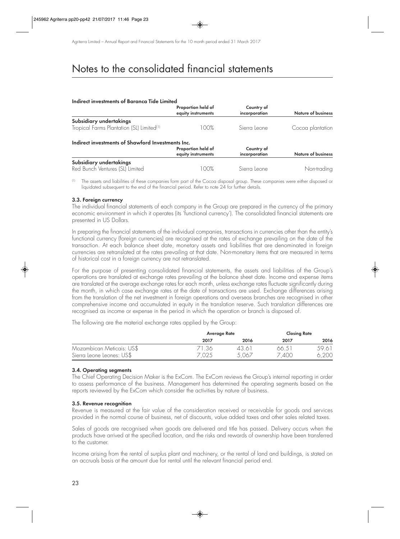#### **Indirect investments of Baranca Tide Limited**

|                                                       | Proportion held of<br>equity instruments | Country of<br>incorporation | <b>Nature of business</b> |
|-------------------------------------------------------|------------------------------------------|-----------------------------|---------------------------|
| Subsidiary undertakings                               |                                          |                             |                           |
| Tropical Farms Plantation (SL) Limited <sup>(1)</sup> | 100%                                     | Sierra Leone                | Cocoa plantation          |
| Indirect investments of Shawford Investments Inc.     |                                          |                             |                           |
|                                                       | Proportion held of                       | Country of                  |                           |
|                                                       | equity instruments                       | incorporation               | <b>Nature of business</b> |
| Subsidiary undertakings                               |                                          |                             |                           |
| Red Bunch Ventures (SL) Limited                       | 100%                                     | Sierra Leone                | Non-trading               |

(1) The assets and liabilities of these companies form part of the Cocoa disposal group. These companies were either disposed or liquidated subsequent to the end of the financial period. Refer to note 24 for further details.

#### **3.3. Foreign currency**

The individual financial statements of each company in the Group are prepared in the currency of the primary economic environment in which it operates (its 'functional currency'). The consolidated financial statements are presented in US Dollars.

In preparing the financial statements of the individual companies, transactions in currencies other than the entity's functional currency (foreign currencies) are recognised at the rates of exchange prevailing on the date of the transaction. At each balance sheet date, monetary assets and liabilities that are denominated in foreign currencies are retranslated at the rates prevailing at that date. Non-monetary items that are measured in terms of historical cost in a foreign currency are not retranslated.

For the purpose of presenting consolidated financial statements, the assets and liabilities of the Group's operations are translated at exchange rates prevailing at the balance sheet date. Income and expense items are translated at the average exchange rates for each month, unless exchange rates fluctuate significantly during the month, in which case exchange rates at the date of transactions are used. Exchange differences arising from the translation of the net investment in foreign operations and overseas branches are recognised in other comprehensive income and accumulated in equity in the translation reserve. Such translation differences are recognised as income or expense in the period in which the operation or branch is disposed of.

The following are the material exchange rates applied by the Group:

|                                                        | Average Rate   |                | <b>Closing Rate</b> |                |
|--------------------------------------------------------|----------------|----------------|---------------------|----------------|
|                                                        | 2017           | 2016           | 2017                | 2016           |
| Mozambican Meticais: US\$<br>Sierra Leone Leones: US\$ | 71.36<br>7,025 | 43.61<br>5.067 | 66.51<br>7,400      | 59.61<br>6,200 |

#### **3.4. Operating segments**

The Chief Operating Decision Maker is the ExCom. The ExCom reviews the Group's internal reporting in order to assess performance of the business. Management has determined the operating segments based on the reports reviewed by the ExCom which consider the activities by nature of business.

#### **3.5. Revenue recognition**

Revenue is measured at the fair value of the consideration received or receivable for goods and services provided in the normal course of business, net of discounts, value added taxes and other sales related taxes.

Sales of goods are recognised when goods are delivered and title has passed. Delivery occurs when the products have arrived at the specified location, and the risks and rewards of ownership have been transferred to the customer.

Income arising from the rental of surplus plant and machinery, or the rental of land and buildings, is stated on an accruals basis at the amount due for rental until the relevant financial period end.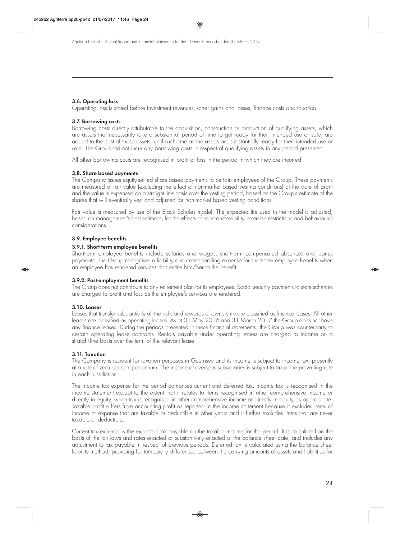#### **3.6. Operating loss**

Operating loss is stated before investment revenues, other gains and losses, finance costs and taxation.

#### **3.7. Borrowing costs**

Borrowing costs directly attributable to the acquisition, construction or production of qualifying assets, which are assets that necessarily take a substantial period of time to get ready for their intended use or sale, are added to the cost of those assets, until such time as the assets are substantially ready for their intended use or sale. The Group did not incur any borrowing costs in respect of qualifying assets in any period presented.

All other borrowing costs are recognised in profit or loss in the period in which they are incurred.

#### **3.8. Share based payments**

The Company issues equity-settled share-based payments to certain employees of the Group. These payments are measured at fair value (excluding the effect of non-market based vesting conditions) at the date of grant and the value is expensed on a straight-line basis over the vesting period, based on the Group's estimate of the shares that will eventually vest and adjusted for non-market based vesting conditions.

Fair value is measured by use of the Black Scholes model. The expected life used in the model is adjusted, based on management's best estimate, for the effects of non-transferability, exercise restrictions and behavioural considerations.

#### **3.9. Employee benefits**

#### **3.9.1. Short term employee benefits**

Short-term employee benefits include salaries and wages, short-term compensated absences and bonus payments. The Group recognises a liability and corresponding expense for short-term employee benefits when an employee has rendered services that entitle him/her to the benefit.

#### **3.9.2. Post-employment benefits**

The Group does not contribute to any retirement plan for its employees. Social security payments to state schemes are charged to profit and loss as the employee's services are rendered.

#### **3.10. Leases**

Leases that transfer substantially all the risks and rewards of ownership are classified as finance leases. All other leases are classified as operating leases. As at 31 May 2016 and 31 March 2017 the Group does not have any finance leases. During the periods presented in these financial statements, the Group was counterparty to certain operating lease contracts. Rentals payable under operating leases are charged to income on a straight-line basis over the term of the relevant lease.

#### **3.11. Taxation**

The Company is resident for taxation purposes in Guernsey and its income is subject to income tax, presently at a rate of zero per cent per annum. The income of overseas subsidiaries is subject to tax at the prevailing rate in each jurisdiction.

The income tax expense for the period comprises current and deferred tax. Income tax is recognised in the income statement except to the extent that it relates to items recognised in other comprehensive income or directly in equity, when tax is recognised in other comprehensive income or directly in equity as appropriate. Taxable profit differs from accounting profit as reported in the income statement because it excludes items of income or expense that are taxable or deductible in other years and it further excludes items that are never taxable or deductible.

Current tax expense is the expected tax payable on the taxable income for the period. It is calculated on the basis of the tax laws and rates enacted or substantively enacted at the balance sheet date, and includes any adjustment to tax payable in respect of previous periods. Deferred tax is calculated using the balance sheet liability method, providing for temporary differences between the carrying amounts of assets and liabilities for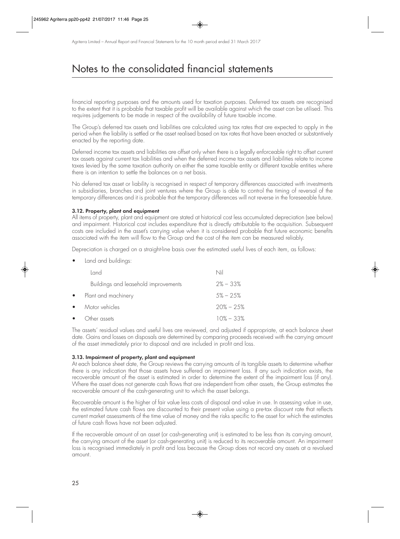financial reporting purposes and the amounts used for taxation purposes. Deferred tax assets are recognised to the extent that it is probable that taxable profit will be available against which the asset can be utilised. This requires judgements to be made in respect of the availability of future taxable income.

The Group's deferred tax assets and liabilities are calculated using tax rates that are expected to apply in the period when the liability is settled or the asset realised based on tax rates that have been enacted or substantively enacted by the reporting date.

Deferred income tax assets and liabilities are offset only when there is a legally enforceable right to offset current tax assets against current tax liabilities and when the deferred income tax assets and liabilities relate to income taxes levied by the same taxation authority on either the same taxable entity or different taxable entities where there is an intention to settle the balances on a net basis.

No deferred tax asset or liability is recognised in respect of temporary differences associated with investments in subsidiaries, branches and joint ventures where the Group is able to control the timing of reversal of the temporary differences and it is probable that the temporary differences will not reverse in the foreseeable future.

#### **3.12. Property, plant and equipment**

All items of property, plant and equipment are stated at historical cost less accumulated depreciation (see below) and impairment. Historical cost includes expenditure that is directly attributable to the acquisition. Subsequent costs are included in the asset's carrying value when it is considered probable that future economic benefits associated with the item will flow to the Group and the cost of the item can be measured reliably.

Depreciation is charged on a straight-line basis over the estimated useful lives of each item, as follows:

• Land and buildings:

|           | Land                                 | Nil            |
|-----------|--------------------------------------|----------------|
|           | Buildings and leasehold improvements | $2\% - 33\%$   |
|           | • Plant and machinery                | $.5\% - 2.5\%$ |
| $\bullet$ | Motor vehicles                       | $20\% - 25\%$  |
| $\bullet$ | Other assets                         | $10\% - 33\%$  |

The assets' residual values and useful lives are reviewed, and adjusted if appropriate, at each balance sheet date. Gains and losses on disposals are determined by comparing proceeds received with the carrying amount of the asset immediately prior to disposal and are included in profit and loss.

#### **3.13. Impairment of property, plant and equipment**

At each balance sheet date, the Group reviews the carrying amounts of its tangible assets to determine whether there is any indication that those assets have suffered an impairment loss. If any such indication exists, the recoverable amount of the asset is estimated in order to determine the extent of the impairment loss (if any). Where the asset does not generate cash flows that are independent from other assets, the Group estimates the recoverable amount of the cash-generating unit to which the asset belongs.

Recoverable amount is the higher of fair value less costs of disposal and value in use. In assessing value in use, the estimated future cash flows are discounted to their present value using a pre-tax discount rate that reflects current market assessments of the time value of money and the risks specific to the asset for which the estimates of future cash flows have not been adjusted.

If the recoverable amount of an asset (or cash-generating unit) is estimated to be less than its carrying amount, the carrying amount of the asset (or cash-generating unit) is reduced to its recoverable amount. An impairment loss is recognised immediately in profit and loss because the Group does not record any assets at a revalued amount.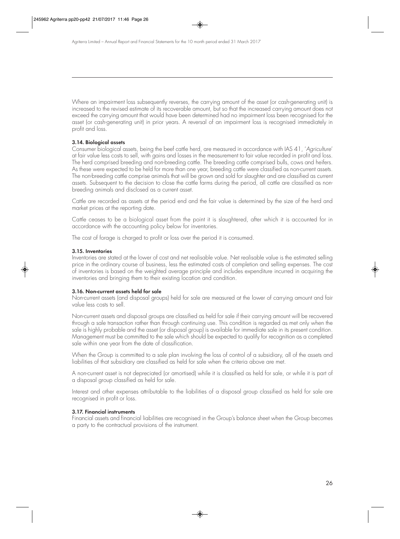Where an impairment loss subsequently reverses, the carrying amount of the asset (or cash-generating unit) is increased to the revised estimate of its recoverable amount, but so that the increased carrying amount does not exceed the carrying amount that would have been determined had no impairment loss been recognised for the asset (or cash-generating unit) in prior years. A reversal of an impairment loss is recognised immediately in profit and loss.

#### **3.14. Biological assets**

Consumer biological assets, being the beef cattle herd, are measured in accordance with IAS 41, 'Agriculture' at fair value less costs to sell, with gains and losses in the measurement to fair value recorded in profit and loss. The herd comprised breeding and non-breeding cattle. The breeding cattle comprised bulls, cows and heifers. As these were expected to be held for more than one year, breeding cattle were classified as non-current assets. The non-breeding cattle comprise animals that will be grown and sold for slaughter and are classified as current assets. Subsequent to the decision to close the cattle farms during the period, all cattle are classified as nonbreeding animals and disclosed as a current asset.

Cattle are recorded as assets at the period end and the fair value is determined by the size of the herd and market prices at the reporting date.

Cattle ceases to be a biological asset from the point it is slaughtered, after which it is accounted for in accordance with the accounting policy below for inventories.

The cost of forage is charged to profit or loss over the period it is consumed.

#### **3.15. Inventories**

Inventories are stated at the lower of cost and net realisable value. Net realisable value is the estimated selling price in the ordinary course of business, less the estimated costs of completion and selling expenses. The cost of inventories is based on the weighted average principle and includes expenditure incurred in acquiring the inventories and bringing them to their existing location and condition.

#### **3.16. Non-current assets held for sale**

Non-current assets (and disposal groups) held for sale are measured at the lower of carrying amount and fair value less costs to sell.

Non-current assets and disposal groups are classified as held for sale if their carrying amount will be recovered through a sale transaction rather than through continuing use. This condition is regarded as met only when the sale is highly probable and the asset (or disposal group) is available for immediate sale in its present condition. Management must be committed to the sale which should be expected to qualify for recognition as a completed sale within one year from the date of classification.

When the Group is committed to a sale plan involving the loss of control of a subsidiary, all of the assets and liabilities of that subsidiary are classified as held for sale when the criteria above are met.

A non-current asset is not depreciated (or amortised) while it is classified as held for sale, or while it is part of a disposal group classified as held for sale.

Interest and other expenses attributable to the liabilities of a disposal group classified as held for sale are recognised in profit or loss.

#### **3.17. Financial instruments**

Financial assets and financial liabilities are recognised in the Group's balance sheet when the Group becomes a party to the contractual provisions of the instrument.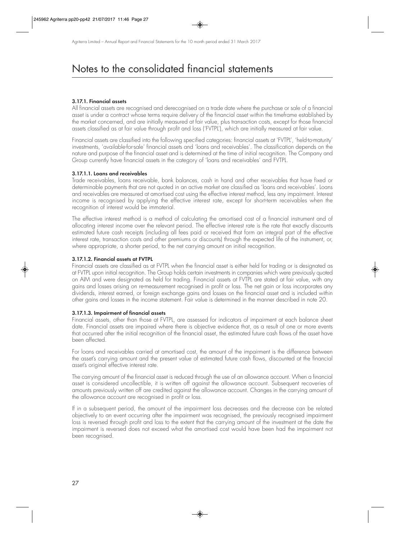#### **3.17.1. Financial assets**

All financial assets are recognised and derecognised on a trade date where the purchase or sale of a financial asset is under a contract whose terms require delivery of the financial asset within the timeframe established by the market concerned, and are initially measured at fair value, plus transaction costs, except for those financial assets classified as at fair value through profit and loss ('FVTPL'), which are initially measured at fair value.

Financial assets are classified into the following specified categories: financial assets at 'FVTPL', 'held-to-maturity' investments, 'available-for-sale' financial assets and 'loans and receivables'. The classification depends on the nature and purpose of the financial asset and is determined at the time of initial recognition. The Company and Group currently have financial assets in the category of 'loans and receivables' and FVTPL.

#### **3.17.1.1. Loans and receivables**

Trade receivables, loans receivable, bank balances, cash in hand and other receivables that have fixed or determinable payments that are not quoted in an active market are classified as 'loans and receivables'. Loans and receivables are measured at amortised cost using the effective interest method, less any impairment. Interest income is recognised by applying the effective interest rate, except for short-term receivables when the recognition of interest would be immaterial.

The effective interest method is a method of calculating the amortised cost of a financial instrument and of allocating interest income over the relevant period. The effective interest rate is the rate that exactly discounts estimated future cash receipts (including all fees paid or received that form an integral part of the effective interest rate, transaction costs and other premiums or discounts) through the expected life of the instrument, or, where appropriate, a shorter period, to the net carrying amount on initial recognition.

#### **3.17.1.2. Financial assets at FVTPL**

Financial assets are classified as at FVTPL when the financial asset is either held for trading or is designated as at FVTPL upon initial recognition. The Group holds certain investments in companies which were previously quoted on AIM and were designated as held for trading. Financial assets at FVTPL are stated at fair value, with any gains and losses arising on re-measurement recognised in profit or loss. The net gain or loss incorporates any dividends, interest earned, or foreign exchange gains and losses on the financial asset and is included within other gains and losses in the income statement. Fair value is determined in the manner described in note 20.

#### **3.17.1.3. Impairment of financial assets**

Financial assets, other than those at FVTPL, are assessed for indicators of impairment at each balance sheet date. Financial assets are impaired where there is objective evidence that, as a result of one or more events that occurred after the initial recognition of the financial asset, the estimated future cash flows of the asset have been affected.

For loans and receivables carried at amortised cost, the amount of the impairment is the difference between the asset's carrying amount and the present value of estimated future cash flows, discounted at the financial asset's original effective interest rate.

The carrying amount of the financial asset is reduced through the use of an allowance account. When a financial asset is considered uncollectible, it is written off against the allowance account. Subsequent recoveries of amounts previously written off are credited against the allowance account. Changes in the carrying amount of the allowance account are recognised in profit or loss.

If in a subsequent period, the amount of the impairment loss decreases and the decrease can be related objectively to an event occurring after the impairment was recognised, the previously recognised impairment loss is reversed through profit and loss to the extent that the carrying amount of the investment at the date the impairment is reversed does not exceed what the amortised cost would have been had the impairment not been recognised.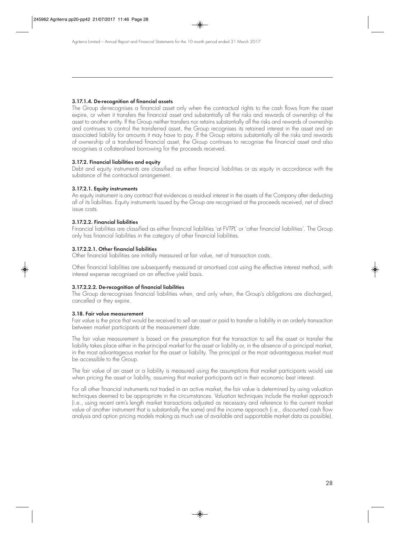#### **3.17.1.4. De-recognition of financial assets**

The Group de-recognises a financial asset only when the contractual rights to the cash flows from the asset expire, or when it transfers the financial asset and substantially all the risks and rewards of ownership of the asset to another entity. If the Group neither transfers nor retains substantially all the risks and rewards of ownership and continues to control the transferred asset, the Group recognises its retained interest in the asset and an associated liability for amounts it may have to pay. If the Group retains substantially all the risks and rewards of ownership of a transferred financial asset, the Group continues to recognise the financial asset and also recognises a collateralised borrowing for the proceeds received.

#### **3.17.2. Financial liabilities and equity**

Debt and equity instruments are classified as either financial liabilities or as equity in accordance with the substance of the contractual arrangement.

#### **3.17.2.1. Equity instruments**

An equity instrument is any contract that evidences a residual interest in the assets of the Company after deducting all of its liabilities. Equity instruments issued by the Group are recognised at the proceeds received, net of direct issue costs.

#### **3.17.2.2. Financial liabilities**

Financial liabilities are classified as either financial liabilities 'at FVTPL' or 'other financial liabilities'. The Group only has financial liabilities in the category of other financial liabilities.

#### **3.17.2.2.1. Other financial liabilities**

Other financial liabilities are initially measured at fair value, net of transaction costs.

Other financial liabilities are subsequently measured at amortised cost using the effective interest method, with interest expense recognised on an effective yield basis.

#### **3.17.2.2.2. De-recognition of financial liabilities**

The Group de-recognises financial liabilities when, and only when, the Group's obligations are discharged, cancelled or they expire.

#### **3.18. Fair value measurement**

Fair value is the price that would be received to sell an asset or paid to transfer a liability in an orderly transaction between market participants at the measurement date.

The fair value measurement is based on the presumption that the transaction to sell the asset or transfer the liability takes place either in the principal market for the asset or liability or, in the absence of a principal market, in the most advantageous market for the asset or liability. The principal or the most advantageous market must be accessible to the Group.

The fair value of an asset or a liability is measured using the assumptions that market participants would use when pricing the asset or liability, assuming that market participants act in their economic best interest.

For all other financial instruments not traded in an active market, the fair value is determined by using valuation techniques deemed to be appropriate in the circumstances. Valuation techniques include the market approach (i.e., using recent arm's length market transactions adjusted as necessary and reference to the current market value of another instrument that is substantially the same) and the income approach (i.e., discounted cash flow analysis and option pricing models making as much use of available and supportable market data as possible).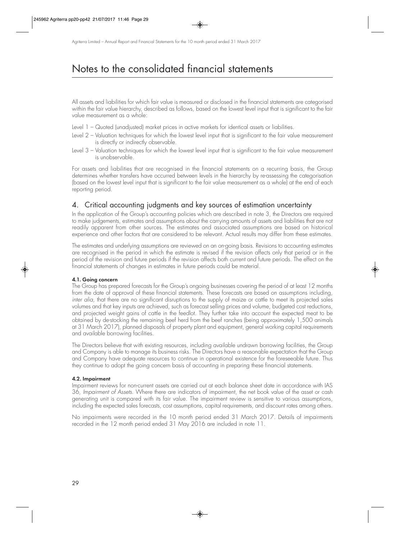All assets and liabilities for which fair value is measured or disclosed in the financial statements are categorised within the fair value hierarchy, described as follows, based on the lowest level input that is significant to the fair value measurement as a whole:

- Level 1 Quoted (unadjusted) market prices in active markets for identical assets or liabilities.
- Level 2 Valuation techniques for which the lowest level input that is significant to the fair value measurement is directly or indirectly observable.
- Level 3 Valuation techniques for which the lowest level input that is significant to the fair value measurement is unobservable.

For assets and liabilities that are recognised in the financial statements on a recurring basis, the Group determines whether transfers have occurred between levels in the hierarchy by re-assessing the categorisation (based on the lowest level input that is significant to the fair value measurement as a whole) at the end of each reporting period.

## 4. Critical accounting judgments and key sources of estimation uncertainty

In the application of the Group's accounting policies which are described in note 3, the Directors are required to make judgements, estimates and assumptions about the carrying amounts of assets and liabilities that are not readily apparent from other sources. The estimates and associated assumptions are based on historical experience and other factors that are considered to be relevant. Actual results may differ from these estimates.

The estimates and underlying assumptions are reviewed on an on-going basis. Revisions to accounting estimates are recognised in the period in which the estimate is revised if the revision affects only that period or in the period of the revision and future periods if the revision affects both current and future periods. The effect on the financial statements of changes in estimates in future periods could be material.

#### **4.1. Going concern**

The Group has prepared forecasts for the Group's ongoing businesses covering the period of at least 12 months from the date of approval of these financial statements. These forecasts are based on assumptions including, inter alia, that there are no significant disruptions to the supply of maize or cattle to meet its projected sales volumes and that key inputs are achieved, such as forecast selling prices and volume, budgeted cost reductions, and projected weight gains of cattle in the feedlot. They further take into account the expected meat to be obtained by de-stocking the remaining beef herd from the beef ranches (being approximately 1,500 animals at 31 March 2017), planned disposals of property plant and equipment, general working capital requirements and available borrowing facilities.

The Directors believe that with existing resources, including available undrawn borrowing facilities, the Group and Company is able to manage its business risks. The Directors have a reasonable expectation that the Group and Company have adequate resources to continue in operational existence for the foreseeable future. Thus they continue to adopt the going concern basis of accounting in preparing these financial statements.

#### **4.2. Impairment**

Impairment reviews for non-current assets are carried out at each balance sheet date in accordance with IAS 36, Impairment of Assets. Where there are indicators of impairment, the net book value of the asset or cash generating unit is compared with its fair value. The impairment review is sensitive to various assumptions, including the expected sales forecasts, cost assumptions, capital requirements, and discount rates among others.

No impairments were recorded in the 10 month period ended 31 March 2017. Details of impairments recorded in the 12 month period ended 31 May 2016 are included in note 11.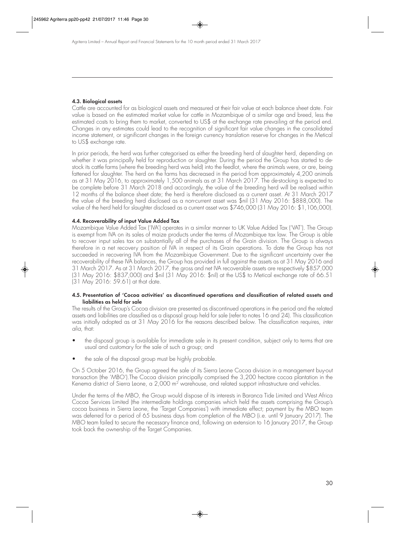#### **4.3. Biological assets**

Cattle are accounted for as biological assets and measured at their fair value at each balance sheet date. Fair value is based on the estimated market value for cattle in Mozambique of a similar age and breed, less the estimated costs to bring them to market, converted to US\$ at the exchange rate prevailing at the period end. Changes in any estimates could lead to the recognition of significant fair value changes in the consolidated income statement, or significant changes in the foreign currency translation reserve for changes in the Metical to US\$ exchange rate.

In prior periods, the herd was further categorised as either the breeding herd of slaughter herd, depending on whether it was principally held for reproduction or slaughter. During the period the Group has started to destock its cattle farms (where the breeding herd was held) into the feedlot, where the animals were, or are, being fattened for slaughter. The herd on the farms has decreased in the period from approximately 4,200 animals as at 31 May 2016, to approximately 1,500 animals as at 31 March 2017. The de-stocking is expected to be complete before 31 March 2018 and accordingly, the value of the breeding herd will be realised within 12 months of the balance sheet date; the herd is therefore disclosed as a current asset. At 31 March 2017 the value of the breeding herd disclosed as a non-current asset was \$nil (31 May 2016: \$888,000). The value of the herd held for slaughter disclosed as a current asset was \$746,000 (31 May 2016: \$1,106,000).

#### **4.4. Recoverability of input Value Added Tax**

Mozambique Value Added Tax ('IVA') operates in a similar manner to UK Value Added Tax ('VAT'). The Group is exempt from IVA on its sales of maize products under the terms of Mozambique tax law. The Group is able to recover input sales tax on substantially all of the purchases of the Grain division. The Group is always therefore in a net recovery position of IVA in respect of its Grain operations. To date the Group has not succeeded in recovering IVA from the Mozambique Government. Due to the significant uncertainty over the recoverability of these IVA balances, the Group has provided in full against the assets as at 31 May 2016 and 31 March 2017. As at 31 March 2017, the gross and net IVA recoverable assets are respectively \$857,000 (31 May 2016: \$837,000) and \$nil (31 May 2016: \$nil) at the US\$ to Metical exchange rate of 66.51 (31 May 2016: 59.61) at that date.

#### **4.5. Presentation of 'Cocoa activities' as discontinued operations and classification of related assets and liabilities as held for sale**

The results of the Group's Cocoa division are presented as discontinued operations in the period and the related assets and liabilities are classified as a disposal group held for sale (refer to notes 16 and 24). This classification was initially adopted as at 31 May 2016 for the reasons described below. The classification requires, inter alia, that:

- the disposal group is available for immediate sale in its present condition, subject only to terms that are usual and customary for the sale of such a group; and
- the sale of the disposal group must be highly probable.

On 5 October 2016, the Group agreed the sale of its Sierra Leone Cocoa division in a management buy-out transaction (the 'MBO').The Cocoa division principally comprised the 3,200 hectare cocoa plantation in the Kenema district of Sierra Leone, a 2,000 m<sup>2</sup> warehouse, and related support infrastructure and vehicles.

Under the terms of the MBO, the Group would dispose of its interests in Baranca Tide Limited and West Africa Cocoa Services Limited (the intermediate holdings companies which held the assets comprising the Group's cocoa business in Sierra Leone, the 'Target Companies') with immediate effect; payment by the MBO team was deferred for a period of 65 business days from completion of the MBO (i.e. until 9 January 2017). The MBO team failed to secure the necessary finance and, following an extension to 16 January 2017, the Group took back the ownership of the Target Companies.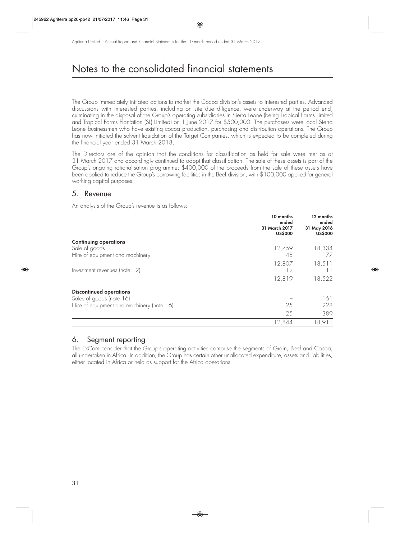The Group immediately initiated actions to market the Cocoa division's assets to interested parties. Advanced discussions with interested parties, including on site due diligence, were underway at the period end, culminating in the disposal of the Group's operating subsidiaries in Sierra Leone (being Tropical Farms Limited and Tropical Farms Plantation (SL) Limited) on 1 June 2017 for \$500,000. The purchasers were local Sierra Leone businessmen who have existing cocoa production, purchasing and distribution operations. The Group has now initiated the solvent liquidation of the Target Companies, which is expected to be completed during the financial year ended 31 March 2018.

The Directors are of the opinion that the conditions for classification as held for sale were met as at 31 March 2017 and accordingly continued to adopt that classification. The sale of these assets is part of the Group's ongoing rationalisation programme; \$400,000 of the proceeds from the sale of these assets have been applied to reduce the Group's borrowing facilities in the Beef division, with \$100,000 applied for general working capital purposes.

### 5. Revenue

An analysis of the Group's revenue is as follows:

|                                           | 10 months<br>ended              | 12 months<br>ended            |
|-------------------------------------------|---------------------------------|-------------------------------|
|                                           | 31 March 2017<br><b>US\$000</b> | 31 May 2016<br><b>US\$000</b> |
| <b>Continuing operations</b>              |                                 |                               |
| Sale of goods                             | 12,759                          | 18,334                        |
| Hire of equipment and machinery           | 48                              | 177                           |
|                                           | 12,807                          | 18,511                        |
| Investment revenues (note 12)             | 12                              |                               |
|                                           | 12,819                          | 18,522                        |
| <b>Discontinued operations</b>            |                                 |                               |
| Sales of goods (note 16)                  |                                 | 161                           |
| Hire of equipment and machinery (note 16) | 25                              | 228                           |
|                                           | 25                              | 389                           |
|                                           | 12,844                          | 18,911                        |

### 6. Segment reporting

The ExCom consider that the Group's operating activities comprise the segments of Grain, Beef and Cocoa, all undertaken in Africa. In addition, the Group has certain other unallocated expenditure, assets and liabilities, either located in Africa or held as support for the Africa operations.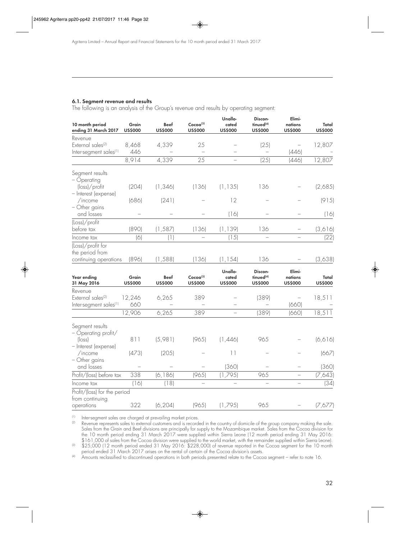#### **6.1. Segment revenue and results**

The following is an analysis of the Group's revenue and results by operating segment:

| 10 month period<br>ending 31 March 2017           | Grain<br><b>US\$000</b> | <b>Beef</b><br><b>US\$000</b> | Cocoa <sup>(3)</sup><br><b>US\$000</b> | Unallo-<br>cated<br><b>US\$000</b> | Discon-<br>tinued <sup>(4)</sup><br><b>US\$000</b> | Elimi-<br>nations<br><b>US\$000</b> | Total<br><b>US\$000</b> |
|---------------------------------------------------|-------------------------|-------------------------------|----------------------------------------|------------------------------------|----------------------------------------------------|-------------------------------------|-------------------------|
| Revenue                                           |                         |                               |                                        |                                    |                                                    |                                     |                         |
| External sales <sup>(2)</sup>                     | 8,468                   | 4,339                         | 25                                     |                                    | (25)                                               |                                     | 12,807                  |
| Inter-segment sales <sup>(1)</sup>                | 446                     |                               |                                        |                                    |                                                    | (446)                               |                         |
|                                                   | 8,914                   | 4,339                         | 25                                     | $\equiv$                           | (25)                                               | (446)                               | 12,807                  |
| Segment results<br>- Operating                    |                         |                               |                                        |                                    |                                                    |                                     |                         |
| $(\mathsf{loss})$ /profit<br>- Interest (expense) | (204)                   | (1, 346)                      | (136)                                  | (1, 135)                           | 136                                                |                                     | (2,685)                 |
| /income<br>- Other gains                          | (686)                   | (241)                         |                                        | 12                                 |                                                    |                                     | (915)                   |
| and losses                                        |                         |                               |                                        | (16)                               |                                                    |                                     | (16)                    |
| (Loss)/profit<br>before tax                       | (890)                   | (1, 587)                      | (136)                                  | (1, 139)                           | 136                                                |                                     | (3,616)                 |
| Income tax                                        | (6)                     | (1)                           |                                        | (15)                               |                                                    |                                     | (22)                    |
| (Loss)/profit for<br>the period from              |                         |                               |                                        |                                    |                                                    |                                     |                         |
| continuing operations                             | (896)                   | (1, 588)                      | (136)                                  | (1, 154)                           | 136                                                |                                     | (3,638)                 |
|                                                   |                         |                               |                                        | Unallo-                            | Discon-                                            | Elimi-                              |                         |
| Year ending<br>31 May 2016                        | Grain<br><b>US\$000</b> | Beef<br><b>US\$000</b>        | Cocoa <sup>(3)</sup><br><b>US\$000</b> | cated<br><b>US\$000</b>            | tinued <sup>(4)</sup><br><b>US\$000</b>            | nations<br><b>US\$000</b>           | Total<br><b>US\$000</b> |
| Revenue                                           |                         |                               |                                        |                                    |                                                    |                                     |                         |
| External sales <sup>(2)</sup>                     | 12,246                  | 6,265                         | 389                                    |                                    | (389)                                              |                                     | 18,511                  |
| Inter-segment sales <sup>(1)</sup>                | 660                     |                               |                                        |                                    |                                                    | (660)                               |                         |
|                                                   | 12,906                  | 6,265                         | 389                                    | $\overline{\phantom{0}}$           | (389)                                              | (660)                               | 18,511                  |
| Segment results<br>- Operating profit/            |                         |                               |                                        |                                    |                                                    |                                     |                         |
| $ $ loss)<br>- Interest (expense)                 | 811                     | (5,981)                       | (965)                                  | (1,446)                            | 965                                                |                                     | (6, 6]                  |
| /income                                           | (473)                   | (205)                         |                                        | 11                                 |                                                    |                                     | (667)                   |
| - Other gains<br>and losses                       |                         |                               |                                        | (360)                              |                                                    |                                     | (360)                   |
| Profit/(loss) before tax                          | 338                     | (6, 186)                      | (965)                                  | (1,795)                            | 965                                                | $\overline{\phantom{0}}$            | (7,643)                 |
| Income tax                                        | (16)                    | (18)                          | $\equiv$                               |                                    | $\equiv$                                           |                                     | (34)                    |
| Profit/(loss) for the period<br>from continuing   |                         |                               |                                        |                                    |                                                    |                                     |                         |
| operations                                        | 322                     | (6, 204)                      | (965)                                  | (1,795)                            | 965                                                |                                     | (7,677)                 |

(1) Inter-segment sales are charged at prevailing market prices.<br>(2) Revenue represents sales to external customers and is recorder

Revenue represents sales to external customers and is recorded in the country of domicile of the group company making the sale. Sales from the Grain and Beef divisions are principally for supply to the Mozambique market. Sales from the Cocoa division for the 10 month period ending 31 March 2017 were supplied within Sierra Leone (12 month period ending 31 May 2016: \$161,000 of sales from the Cocoa division were supplied to the world market, with the remainder supplied within Sierra Leone).

(3) \$25,000 (12 month period ended 31 May 2016: \$228,000) of revenue reported in the Cocoa segment for the 10 month period ended 31 March 2017 arises on the rental of certain of the Cocoa division's assets.

<sup>(4)</sup> Amounts reclassified to discontinued operations in both periods presented relate to the Cocoa segment – refer to note 16.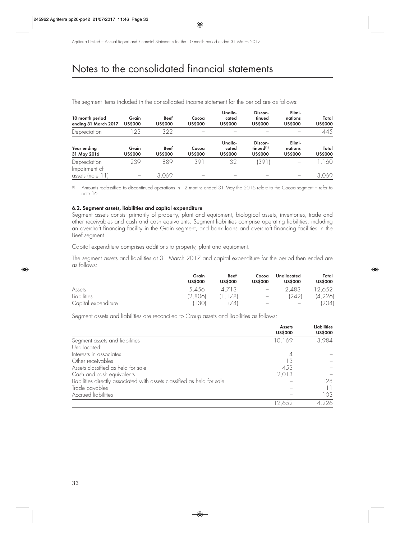| 10 month period<br>ending 31 March 2017 | Grain<br><b>US\$000</b> | <b>Beef</b><br><b>US\$000</b> | Cocoa<br><b>US\$000</b> | Unallo-<br>cated<br><b>US\$000</b> | Discon-<br>tinued<br><b>US\$000</b>                | Elimi-<br>nations<br><b>US\$000</b> | Total<br><b>US\$000</b> |
|-----------------------------------------|-------------------------|-------------------------------|-------------------------|------------------------------------|----------------------------------------------------|-------------------------------------|-------------------------|
| Depreciation                            | 23                      | 322                           |                         |                                    |                                                    |                                     | 445                     |
| Year ending<br>31 May 2016              | Grain<br><b>US\$000</b> | <b>Beef</b><br><b>US\$000</b> | Cocoa<br><b>US\$000</b> | Unallo-<br>cated<br><b>US\$000</b> | Discon-<br>tinued <sup>(1)</sup><br><b>US\$000</b> | Elimi-<br>nations<br><b>US\$000</b> | Total<br><b>US\$000</b> |
| Depreciation<br>Impairment of           | 239                     | 889                           | 391                     | 32                                 | (391)                                              |                                     | ,160                    |
| assets (note                            |                         | 3,069                         |                         |                                    |                                                    |                                     | 3,069                   |

The segment items included in the consolidated income statement for the period are as follows:

(1) Amounts reclassified to discontinued operations in 12 months ended 31 May the 2016 relate to the Cocoa segment – refer to note 16.

#### **6.2. Segment assets, liabilities and capital expenditure**

Segment assets consist primarily of property, plant and equipment, biological assets, inventories, trade and other receivables and cash and cash equivalents. Segment liabilities comprise operating liabilities, including an overdraft financing facility in the Grain segment, and bank loans and overdraft financing facilities in the Beef segment.

Capital expenditure comprises additions to property, plant and equipment.

The segment assets and liabilities at 31 March 2017 and capital expenditure for the period then ended are as follows:

|                     | Grain<br><b>US\$000</b> | <b>Beef</b><br><b>US\$000</b> | Cocoa<br><b>US\$000</b>  | Unallocated<br><b>US\$000</b> | Total<br><b>US\$000</b> |
|---------------------|-------------------------|-------------------------------|--------------------------|-------------------------------|-------------------------|
| Assets              | 5,456                   | 4/13                          | $\overline{\phantom{m}}$ | 2,483                         | '2,652                  |
| Liabilities         | (2,806)                 | 1781                          | $\overline{\phantom{m}}$ | (242)                         | (4, 226)                |
| Capital expenditure | 130                     | 74                            | $\overline{\phantom{0}}$ |                               | (204)                   |

Segment assets and liabilities are reconciled to Group assets and liabilities as follows:

|                                                                         | <b>Assets</b><br><b>US\$000</b> | <b>Liabilities</b><br><b>US\$000</b> |
|-------------------------------------------------------------------------|---------------------------------|--------------------------------------|
| Segment assets and liabilities                                          | 10,169                          | 3,984                                |
| Unallocated:                                                            |                                 |                                      |
| Interests in associates                                                 |                                 |                                      |
| Other receivables                                                       | 13                              |                                      |
| Assets classified as held for sale                                      | 453                             |                                      |
| Cash and cash equivalents                                               | 2,013                           |                                      |
| Liabilities directly associated with assets classified as held for sale |                                 | 128                                  |
| Trade payables                                                          |                                 |                                      |
| <b>Accrued liabilities</b>                                              |                                 | 103                                  |
|                                                                         | 12,652                          | 4,226                                |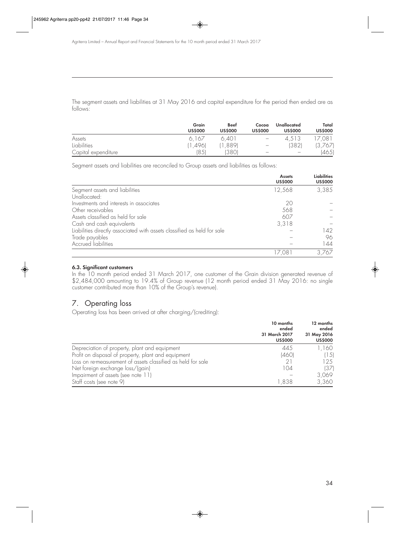The segment assets and liabilities at 31 May 2016 and capital expenditure for the period then ended are as follows:

|                     | Grain<br><b>US\$000</b> | <b>Beef</b><br><b>US\$000</b> | Cocoa<br><b>US\$000</b>         | Unallocated<br><b>US\$000</b> | Total<br><b>US\$000</b> |
|---------------------|-------------------------|-------------------------------|---------------------------------|-------------------------------|-------------------------|
| Assets              | 6.167                   | 6.401                         | $\hspace{0.1mm}-\hspace{0.1mm}$ | 4.513                         | 7,081                   |
| <b>Liabilities</b>  | 1,4961                  | ,889)                         | $\hspace{0.1mm}-\hspace{0.1mm}$ | (382)                         | (3,767)                 |
| Capital expenditure | '85'                    | 13801                         | $\qquad \qquad -$               | $\overline{\phantom{m}}$      | (465)                   |

Segment assets and liabilities are reconciled to Group assets and liabilities as follows:

|                                                                         | <b>Assets</b><br><b>US\$000</b> | <b>Liabilities</b><br><b>US\$000</b> |
|-------------------------------------------------------------------------|---------------------------------|--------------------------------------|
| Segment assets and liabilities                                          | 12,568                          | 3,385                                |
| Unallocated:                                                            |                                 |                                      |
| Investments and interests in associates                                 | 20                              |                                      |
| Other receivables                                                       | 568                             |                                      |
| Assets classified as held for sale                                      | 607                             |                                      |
| Cash and cash equivalents                                               | 3,318                           |                                      |
| Liabilities directly associated with assets classified as held for sale |                                 | 142                                  |
| Trade payables                                                          |                                 | 96                                   |
| <b>Accrued liabilities</b>                                              |                                 | 144                                  |
|                                                                         |                                 | 3.767                                |

#### **6.3. Significant customers**

In the 10 month period ended 31 March 2017, one customer of the Grain division generated revenue of \$2,484,000 amounting to 19.4% of Group revenue (12 month period ended 31 May 2016: no single customer contributed more than 10% of the Group's revenue).

## 7. Operating loss

Operating loss has been arrived at after charging/(crediting):

|                                                              | 10 months<br>ended<br>31 March 2017<br><b>US\$000</b> | 12 months<br>ended<br>31 May 2016<br><b>US\$000</b> |
|--------------------------------------------------------------|-------------------------------------------------------|-----------------------------------------------------|
| Depreciation of property, plant and equipment                | 445                                                   | 1,160                                               |
| Profit on disposal of property, plant and equipment          | (460)                                                 | (15)                                                |
| Loss on re-measurement of assets classified as held for sale |                                                       | 12.5                                                |
| Net foreign exchange loss/(gain)                             | 104                                                   | (37)                                                |
| Impairment of assets (see note 11)                           |                                                       | 3,069                                               |
| Staff costs (see note 9)                                     | 1,838                                                 | 3,360                                               |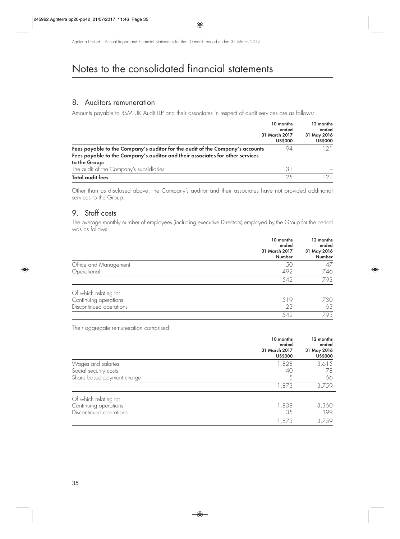### 8. Auditors remuneration

Amounts payable to RSM UK Audit LLP and their associates in respect of audit services are as follows:

|                                                                                                                                                                | 10 months<br>ended<br>31 March 2017<br><b>US\$000</b> | 12 months<br>ended<br>31 May 2016<br><b>US\$000</b> |
|----------------------------------------------------------------------------------------------------------------------------------------------------------------|-------------------------------------------------------|-----------------------------------------------------|
| Fees payable to the Company's auditor for the audit of the Company's accounts<br>Fees payable to the Company's auditor and their associates for other services | 94                                                    |                                                     |
| to the Group:<br>The audit of the Company's subsidiaries                                                                                                       | 31                                                    |                                                     |
| Total audit fees                                                                                                                                               | -25                                                   |                                                     |

Other than as disclosed above, the Company's auditor and their associates have not provided additional services to the Group.

## 9. Staff costs

The average monthly number of employees (including executive Directors) employed by the Group for the period was as follows:

|                         | 10 months<br>ended<br>31 March 2017<br>Number | 12 months<br>ended<br>31 May 2016<br>Number |
|-------------------------|-----------------------------------------------|---------------------------------------------|
| Office and Management   | 50                                            | 47                                          |
| Operational             | 492                                           | 746                                         |
|                         | 542                                           | 793                                         |
| Of which relating to:   |                                               |                                             |
| Continuing operations   | 519                                           | 730                                         |
| Discontinued operations | 23                                            | 63                                          |
|                         | 542                                           | 793                                         |

Their aggregate remuneration comprised:

|                            | 10 months<br>ended<br>31 March 2017<br><b>US\$000</b> | 12 months<br>ended<br>31 May 2016<br><b>US\$000</b> |
|----------------------------|-------------------------------------------------------|-----------------------------------------------------|
| Wages and salaries         | 1,828                                                 | 3,615                                               |
| Social security costs      | 40                                                    | 78                                                  |
| Share based payment charge | 5                                                     | 66                                                  |
|                            | 1,873                                                 | 3,759                                               |
| Of which relating to:      |                                                       |                                                     |
| Continuing operations      | 1,838                                                 | 3,360                                               |
| Discontinued operations    | 35                                                    | 399                                                 |
|                            | 1,873                                                 | 3,759                                               |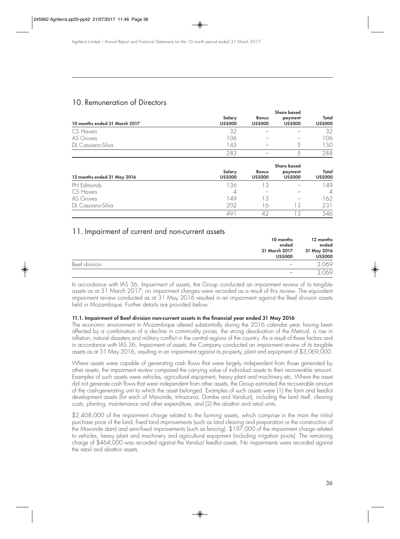## 10. Remuneration of Directors

|                               |                          |                                | <b>Share based</b>        |                         |
|-------------------------------|--------------------------|--------------------------------|---------------------------|-------------------------|
| 10 months ended 31 March 2017 | Salary<br><b>US\$000</b> | <b>Bonus</b><br><b>US\$000</b> | payment<br><b>US\$000</b> | Total<br><b>US\$000</b> |
| CS Havers                     | 32                       |                                |                           | 32                      |
| AS Groves                     | 106                      |                                |                           | 106                     |
| DL Cassiano-Silva             | 14.5                     |                                |                           | .50                     |
|                               | 283                      |                                |                           | 288                     |

|                             |                          |                                | <b>Share based</b>        |                         |
|-----------------------------|--------------------------|--------------------------------|---------------------------|-------------------------|
| 12 months ended 31 May 2016 | Salary<br><b>US\$000</b> | <b>Bonus</b><br><b>US\$000</b> | payment<br><b>US\$000</b> | Total<br><b>US\$000</b> |
| PH Edmonds                  | 136                      | 13                             |                           | 49                      |
| CS Havers                   | 4                        |                                |                           | $\overline{A}$          |
| AS Groves                   | 149                      | 13                             |                           | 62                      |
| DL Cassiano-Silva           | 202                      | lδ                             | l 3                       | 231                     |
|                             |                          |                                |                           | 546                     |

### 11. Impairment of current and non-current assets

|               | 10 months<br>ended<br>31 March 2017<br><b>US\$000</b> | 12 months<br>ended<br>31 May 2016<br><b>US\$000</b> |
|---------------|-------------------------------------------------------|-----------------------------------------------------|
| Beef division |                                                       | 3,069                                               |
|               |                                                       | 3,069                                               |

In accordance with IAS 36, Impairment of assets, the Group conducted an impairment review of its tangible assets as at 31 March 2017; no impairment charges were recorded as a result of this review. The equivalent impairment review conducted as at 31 May 2016 resulted in an impairment against the Beef division assets held in Mozambique. Further details are provided below.

#### **11.1. Impairment of Beef division non-current assets in the financial year ended 31 May 2016**

The economic environment in Mozambique altered substantially during the 2016 calendar year, having been affected by a combination of a decline in commodity prices, the strong devaluation of the Metical, a rise in inflation, natural disasters and military conflict in the central regions of the country. As a result of these factors and in accordance with IAS 36, Impairment of assets, the Company conducted an impairment review of its tangible assets as at 31 May 2016, resulting in an impairment against its property, plant and equipment of \$3,069,000.

Where assets were capable of generating cash flows that were largely independent from those generated by other assets, the impairment review compared the carrying value of individual assets to their recoverable amount. Examples of such assets were vehicles, agricultural equipment, heavy plant and machinery etc. Where the asset did not generate cash flows that were independent from other assets, the Group estimated the recoverable amount of the cash-generating unit to which the asset belonged. Examples of such assets were (1) the farm and feedlot development assets (for each of Mavonde, Inhazonia, Dombe and Vanduzi), including the land itself, clearing costs, planting, maintenance and other expenditure, and (2) the abattoir and retail units.

\$2,408,000 of the impairment charge related to the farming assets, which comprise in the main the initial purchase price of the land, fixed land improvements (such as land clearing and preparation or the construction of the Mavonde dam) and semi-fixed improvements (such as fencing). \$197,000 of the impairment charge related to vehicles, heavy plant and machinery and agricultural equipment (including irrigation pivots). The remaining charge of \$464,000 was recorded against the Vanduzi feedlot assets. No impairments were recorded against the retail and abattoir assets.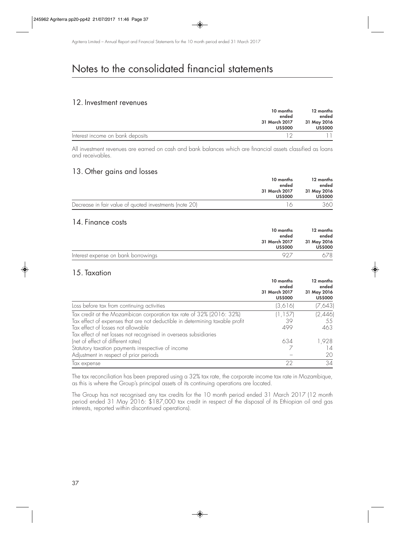### 12. Investment revenues

|                                  | 10 months<br>ended              | 12 months<br>ended            |
|----------------------------------|---------------------------------|-------------------------------|
|                                  | 31 March 2017<br><b>US\$000</b> | 31 May 2016<br><b>US\$000</b> |
| Interest income on bank deposits |                                 |                               |

All investment revenues are earned on cash and bank balances which are financial assets classified as loans and receivables.

### 13. Other gains and losses

|                                                        | 10 months      |                |  | 12 months |  |
|--------------------------------------------------------|----------------|----------------|--|-----------|--|
| ended                                                  | ended          |                |  |           |  |
|                                                        | 31 March 2017  | 31 May 2016    |  |           |  |
|                                                        | <b>US\$000</b> | <b>US\$000</b> |  |           |  |
| Decrease in fair value of quoted investments (note 20) |                | 360            |  |           |  |

### 14. Finance costs

|                                     | 10 months<br>ended              | 12 months<br>ended            |
|-------------------------------------|---------------------------------|-------------------------------|
|                                     | 31 March 2017<br><b>US\$000</b> | 31 May 2016<br><b>US\$000</b> |
| Interest expense on bank borrowings |                                 | 578.                          |

### 15. Taxation

|                                                                              | 10 months<br>ended<br>31 March 2017<br><b>US\$000</b> | 12 months<br>ended<br>31 May 2016<br><b>US\$000</b> |
|------------------------------------------------------------------------------|-------------------------------------------------------|-----------------------------------------------------|
| Loss before tax from continuing activities                                   | (3,616)                                               | (7,643)                                             |
| Tax credit at the Mozambican corporation tax rate of 32% (2016: 32%)         | (1, 157)                                              | (2,446)                                             |
| Tax effect of expenses that are not deductible in determining taxable profit | 39                                                    | 55                                                  |
| Tax effect of losses not allowable                                           | 499                                                   | 463                                                 |
| Tax effect of net losses not recognised in overseas subsidiaries             |                                                       |                                                     |
| (net of effect of different rates)                                           | 634                                                   | 1,928                                               |
| Statutory taxation payments irrespective of income                           |                                                       | 14                                                  |
| Adjustment in respect of prior periods                                       |                                                       | 20                                                  |
| lax expense                                                                  | 22                                                    | 34                                                  |

The tax reconciliation has been prepared using a 32% tax rate, the corporate income tax rate in Mozambique, as this is where the Group's principal assets of its continuing operations are located.

The Group has not recognised any tax credits for the 10 month period ended 31 March 2017 (12 month period ended 31 May 2016: \$187,000 tax credit in respect of the disposal of its Ethiopian oil and gas interests, reported within discontinued operations).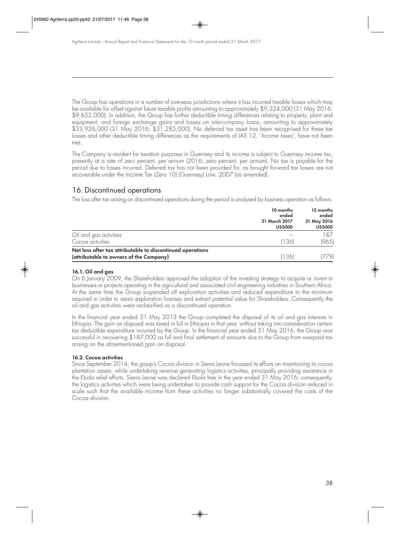The Group has operations in a number of overseas jurisdictions where it has incurred taxable losses which may be available for offset against future taxable profits amounting to approximately \$9,324,000 (31 May 2016: \$9,652,000). In addition, the Group has further deductible timing differences relating to property, plant and equipment, and foreign exchange gains and losses on intercompany loans, amounting to approximately \$33,926,000 (31 May 2016: \$31,285,000). No deferred tax asset has been recognised for these tax losses and other deductible timing differences as the requirements of IAS 12, 'Income taxes', have not been met.

The Company is resident for taxation purposes in Guernsey and its income is subject to Guernsey income tax, presently at a rate of zero percent. per annum (2016: zero percent. per annum). No tax is payable for the period due to losses incurred. Deferred tax has not been provided for, as brought forward tax losses are not recoverable under the Income Tax (Zero 10) (Guernsey) Law, 2007 (as amended).

## 16. Discontinued operations

The loss after tax arising on discontinued operations during the period is analysed by business operation as follows:

|                                                            | 10 months<br>ended<br>31 March 2017<br><b>US\$000</b> | 12 months<br>ended<br>31 May 2016<br><b>US\$000</b> |
|------------------------------------------------------------|-------------------------------------------------------|-----------------------------------------------------|
| Oil and gas activities                                     |                                                       | 187                                                 |
| Cocoa activities                                           | (136)                                                 | (965)                                               |
| Net loss after tax attributable to discontinued operations |                                                       |                                                     |
| (attributable to owners of the Company)                    | (136)                                                 | 7781                                                |

#### **16.1. Oil and gas**

On 6 January 2009, the Shareholders approved the adoption of the investing strategy to acquire or invest in businesses or projects operating in the agricultural and associated civil engineering industries in Southern Africa. At the same time the Group suspended all exploration activities and reduced expenditure to the minimum required in order to retain exploration licenses and extract potential value for Shareholders. Consequently the oil and gas activities were reclassified as a discontinued operation.

In the financial year ended 31 May 2013 the Group completed the disposal of its oil and gas interests in Ethiopia. The gain on disposal was taxed in full in Ethiopia in that year, without taking into consideration certain tax deductible expenditure incurred by the Group. In the financial year ended 31 May 2016, the Group was successful in recovering \$187,000 as full and final settlement of amounts due to the Group from overpaid tax arising on the aforementioned gain on disposal.

#### **16.2. Cocoa activities**

Since September 2014, the group's Cocoa division in Sierra Leone focussed its efforts on maintaining its cocoa plantation assets, while undertaking revenue generating logistics activities, principally providing assistance in the Ebola relief efforts. Sierra Leone was declared Ebola free in the year ended 31 May 2016; consequently, the logistics activities which were being undertaken to provide cash support for the Cocoa division reduced in scale such that the available income from these activities no longer substantially covered the costs of the Cocoa division.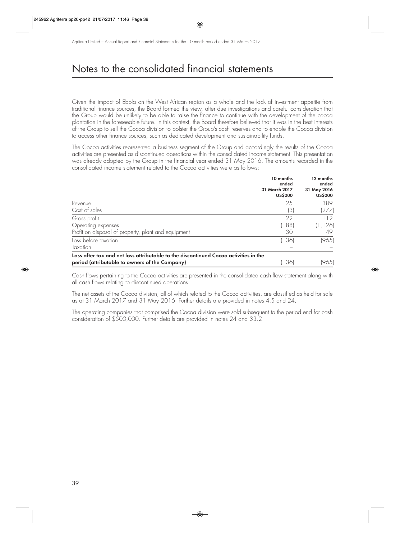Given the impact of Ebola on the West African region as a whole and the lack of investment appetite from traditional finance sources, the Board formed the view, after due investigations and careful consideration that the Group would be unlikely to be able to raise the finance to continue with the development of the cocoa plantation in the foreseeable future. In this context, the Board therefore believed that it was in the best interests of the Group to sell the Cocoa division to bolster the Group's cash reserves and to enable the Cocoa division to access other finance sources, such as dedicated development and sustainability funds.

The Cocoa activities represented a business segment of the Group and accordingly the results of the Cocoa activities are presented as discontinued operations within the consolidated income statement. This presentation was already adopted by the Group in the financial year ended 31 May 2016. The amounts recorded in the consolidated income statement related to the Cocoa activities were as follows:

|                                                                                      | 10 months<br>ended<br>31 March 2017<br><b>US\$000</b> | 12 months<br>ended<br>31 May 2016<br><b>US\$000</b> |
|--------------------------------------------------------------------------------------|-------------------------------------------------------|-----------------------------------------------------|
| Revenue                                                                              | 25                                                    | 389                                                 |
| Cost of sales                                                                        | (3)                                                   | (277)                                               |
| Gross profit                                                                         | 22                                                    | 112                                                 |
| Operating expenses                                                                   | (188)                                                 | (1,126)                                             |
| Profit on disposal of property, plant and equipment                                  | 30                                                    | 49                                                  |
| Loss before taxation                                                                 | (136)                                                 | (965)                                               |
| Taxation                                                                             |                                                       |                                                     |
| Loss after tax and net loss attributable to the discontinued Cocoa activities in the |                                                       |                                                     |
| period (attributable to owners of the Company)                                       | (136)                                                 | (965)                                               |

Cash flows pertaining to the Cocoa activities are presented in the consolidated cash flow statement along with all cash flows relating to discontinued operations.

The net assets of the Cocoa division, all of which related to the Cocoa activities, are classified as held for sale as at 31 March 2017 and 31 May 2016. Further details are provided in notes 4.5 and 24.

The operating companies that comprised the Cocoa division were sold subsequent to the period end for cash consideration of \$500,000. Further details are provided in notes 24 and 33.2.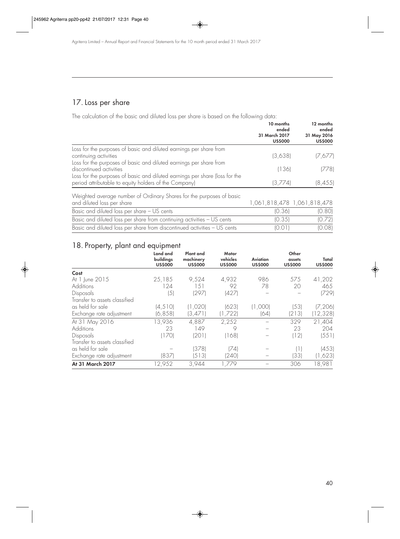## 17. Loss per share

The calculation of the basic and diluted loss per share is based on the following data:

|                                                                                                                                      | 10 months<br>ended<br>31 March 2017<br><b>US\$000</b> | 12 months<br>ended<br>31 May 2016<br><b>US\$000</b> |
|--------------------------------------------------------------------------------------------------------------------------------------|-------------------------------------------------------|-----------------------------------------------------|
| Loss for the purposes of basic and diluted earnings per share from<br>continuing activities                                          | (3,638)                                               | (7,677)                                             |
| Loss for the purposes of basic and diluted earnings per share from<br>discontinued activities                                        | (136)                                                 | (778)                                               |
| Loss for the purposes of basic and diluted earnings per share (loss for the<br>period attributable to equity holders of the Company) | (3,774)                                               | (8, 455)                                            |

| Weighted average number of Ordinary Shares for the purposes of basic<br>and diluted loss per share | 1,061,818,478 1,061,818,478 |        |
|----------------------------------------------------------------------------------------------------|-----------------------------|--------|
|                                                                                                    |                             |        |
| Basic and diluted loss per share - US cents                                                        | [0.36]                      | (0.80) |
| Basic and diluted loss per share from continuing activities - US cents                             | (0.35)                      | (0.72) |
| Basic and diluted loss per share from discontinued activities - US cents                           | 10 Q 11                     | (0.08) |

## 18. Property, plant and equipment

|                               | Land and<br>buildings | Plant and<br>machinery | Motor<br>vehicles | Aviation       | Other<br>assets                               | Total          |
|-------------------------------|-----------------------|------------------------|-------------------|----------------|-----------------------------------------------|----------------|
|                               | <b>US\$000</b>        | <b>US\$000</b>         | <b>US\$000</b>    | <b>US\$000</b> | <b>US\$000</b>                                | <b>US\$000</b> |
| Cost                          |                       |                        |                   |                |                                               |                |
| At 1 June 2015                | 25,185                | 9,524                  | 4,932             | 986            | 575                                           | 41,202         |
| Additions                     | 124                   | 1.51                   | 92                | 78             | 20                                            | 465            |
| Disposals                     | (5                    | (297)                  | (427)             |                |                                               | (729)          |
| Transfer to assets classified |                       |                        |                   |                |                                               |                |
| as held for sale              | (4, 510)              | (1,020)                | (623)             | (1,000)        | (53)                                          | (7, 206)       |
| Exchange rate adjustment      | (6, 858)              | (3, 471)               | (1,722)           | (64)           | (213)                                         | (12, 328)      |
| At 31 May 2016                | 13,936                | 4,887                  | 2,252             |                | 329                                           | 21,404         |
| <b>Additions</b>              | 23                    | 149                    | 9                 |                | 23                                            | 204            |
| Disposals                     | (170)                 | (201)                  | (168)             |                | (12)                                          | (551)          |
| Transfer to assets classified |                       |                        |                   |                |                                               |                |
| as held for sale              |                       | (378)                  | (74)              |                | $\left( \begin{array}{c} \end{array} \right)$ | (453)          |
| Exchange rate adjustment      | (837)                 | (513)                  | (240)             |                | 33                                            | (1,623)        |
| At 31 March 2017              | 12,952                | 3,944                  | 1,779             |                | 306                                           | 18,981         |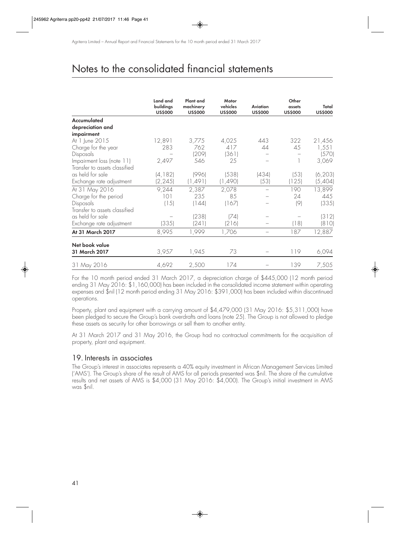|                               | Land and<br>buildings<br><b>US\$000</b> | Plant and<br>machinery<br><b>US\$000</b> | Motor<br>vehicles<br><b>USS000</b> | <b>Aviation</b><br><b>US\$000</b> | Other<br>assets<br><b>US\$000</b> | Total<br><b>US\$000</b> |
|-------------------------------|-----------------------------------------|------------------------------------------|------------------------------------|-----------------------------------|-----------------------------------|-------------------------|
| Accumulated                   |                                         |                                          |                                    |                                   |                                   |                         |
| depreciation and              |                                         |                                          |                                    |                                   |                                   |                         |
| impairment                    |                                         |                                          |                                    |                                   |                                   |                         |
| At 1 June 2015                | 12,891                                  | 3,775                                    | 4,025                              | 443                               | 322                               | 21,456                  |
| Charge for the year           | 283                                     | 762                                      | 417                                | 44                                | 45                                | 1,551                   |
| Disposals                     |                                         | (209)                                    | (361)                              |                                   |                                   | (570)                   |
| Impairment loss (note 11)     | 2,497                                   | 546                                      | 25                                 |                                   |                                   | 3,069                   |
| Transfer to assets classified |                                         |                                          |                                    |                                   |                                   |                         |
| as held for sale              | (4, 182)                                | (996)                                    | (538)                              | (434)                             | (53)                              | (6, 203)                |
| Exchange rate adjustment      | (2, 245)                                | (1,491)                                  | (1,490)                            | (53)                              | (125)                             | (5,404)                 |
| At 31 May 2016                | 9,244                                   | 2,387                                    | 2,078                              |                                   | 190                               | 13,899                  |
| Charge for the period         | 101                                     | 235                                      | 85                                 |                                   | 24                                | 445                     |
| Disposals                     | (15)                                    | (144)                                    | (167)                              |                                   | (9)                               | (335)                   |
| Transfer to assets classified |                                         |                                          |                                    |                                   |                                   |                         |
| as held for sale              |                                         | (238)                                    | (74)                               |                                   |                                   | (312)                   |
| Exchange rate adjustment      | (335)                                   | (241)                                    | (216)                              |                                   | (18)                              | (810)                   |
| At 31 March 2017              | 8,995                                   | 1,999                                    | 1,706                              |                                   | 187                               | 12,887                  |
| Net book value                |                                         |                                          |                                    |                                   |                                   |                         |
| 31 March 2017                 | 3,957                                   | 1,945                                    | 73                                 |                                   | 119                               | 6,094                   |
| 31 May 2016                   | 4,692                                   | 2,500                                    | 174                                |                                   | 139                               | 7,505                   |

For the 10 month period ended 31 March 2017, a depreciation charge of \$445,000 (12 month period ending 31 May 2016: \$1,160,000) has been included in the consolidated income statement within operating expenses and \$nil (12 month period ending 31 May 2016: \$391,000) has been included within discontinued operations.

Property, plant and equipment with a carrying amount of \$4,479,000 (31 May 2016: \$5,311,000) have been pledged to secure the Group's bank overdrafts and loans (note 25). The Group is not allowed to pledge these assets as security for other borrowings or sell them to another entity.

At 31 March 2017 and 31 May 2016, the Group had no contractual commitments for the acquisition of property, plant and equipment.

### 19. Interests in associates

The Group's interest in associates represents a 40% equity investment in African Management Services Limited ('AMS'). The Group's share of the result of AMS for all periods presented was \$nil. The share of the cumulative results and net assets of AMS is \$4,000 (31 May 2016: \$4,000). The Group's initial investment in AMS was \$nil.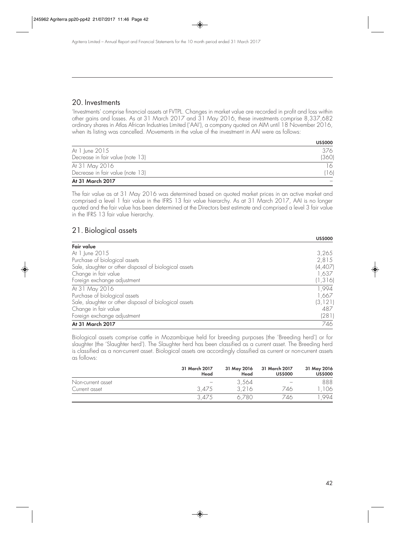### 20. Investments

'Investments' comprise financial assets at FVTPL. Changes in market value are recorded in profit and loss within other gains and losses. As at 31 March 2017 and 31 May 2016, these investments comprise 8,337,682 ordinary shares in Atlas African Industries Limited ('AAI'), a company quoted on AIM until 18 November 2016, when its listing was cancelled. Movements in the value of the investment in AAI were as follows:

|                                  | <b>US\$000</b> |
|----------------------------------|----------------|
| At 1 June 2015                   | 376            |
| Decrease in fair value (note 13) | (360)          |
| At 31 May 2016                   | 16             |
| Decrease in fair value (note 13) | 16             |
| At 31 March 2017                 |                |

The fair value as at 31 May 2016 was determined based on quoted market prices in an active market and comprised a level 1 fair value in the IFRS 13 fair value hierarchy. As at 31 March 2017, AAI is no longer quoted and the fair value has been determined at the Directors best estimate and comprised a level 3 fair value in the IFRS 13 fair value hierarchy.

## 21. Biological assets

|                                                        | <b>US\$000</b> |
|--------------------------------------------------------|----------------|
| Fair value                                             |                |
| At 1 June 2015                                         | 3,265          |
| Purchase of biological assets                          | 2,815          |
| Sale, slaughter or other disposal of biological assets | (4,407)        |
| Change in fair value                                   | 1,637          |
| Foreign exchange adjustment                            | (1, 316)       |
| At 31 May 2016                                         | 1,994          |
| Purchase of biological assets                          | 1,667          |
| Sale, slaughter or other disposal of biological assets | (3, 121)       |
| Change in fair value                                   | 487            |
| Foreign exchange adjustment                            | (281)          |
| At 31 March 2017                                       | 746            |

Biological assets comprise cattle in Mozambique held for breeding purposes (the 'Breeding herd') or for slaughter (the 'Slaughter herd'). The Slaughter herd has been classified as a current asset. The Breeding herd is classified as a non-current asset. Biological assets are accordingly classified as current or non-current assets as follows:

|                   | 31 March 2017<br>Head | 31 May 2016<br>Head | 31 March 2017<br><b>US\$000</b> | 31 May 2016<br><b>US\$000</b> |
|-------------------|-----------------------|---------------------|---------------------------------|-------------------------------|
| Non-current asset |                       | 3,564               |                                 | 888                           |
| Current asset     | 3.475                 | 3.216               | 746                             | 06                            |
|                   | 3.475                 | 6,780               | 746                             | 994                           |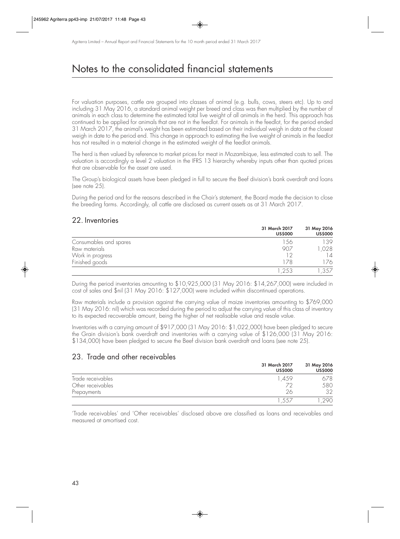For valuation purposes, cattle are grouped into classes of animal (e.g. bulls, cows, steers etc). Up to and including 31 May 2016, a standard animal weight per breed and class was then multiplied by the number of animals in each class to determine the estimated total live weight of all animals in the herd. This approach has continued to be applied for animals that are not in the feedlot. For animals in the feedlot, for the period ended 31 March 2017, the animal's weight has been estimated based on their individual weigh in data at the closest weigh in date to the period end. This change in approach to estimating the live weight of animals in the feedlot has not resulted in a material change in the estimated weight of the feedlot animals.

The herd is then valued by reference to market prices for meat in Mozambique, less estimated costs to sell. The valuation is accordingly a level 2 valuation in the IFRS 13 hierarchy whereby inputs other than quoted prices that are observable for the asset are used.

The Group's biological assets have been pledged in full to secure the Beef division's bank overdraft and loans (see note 25).

During the period and for the reasons described in the Chair's statement, the Board made the decision to close the breeding farms. Accordingly, all cattle are disclosed as current assets as at 31 March 2017.

### 22. Inventories

|                        | 31 March 2017<br><b>US\$000</b> | 31 May 2016<br><b>US\$000</b> |
|------------------------|---------------------------------|-------------------------------|
| Consumables and spares | 56                              | 139                           |
| Raw materials          | 907                             | ,028                          |
| Work in progress       | 12                              | 14                            |
| Finished goods         | 178                             | 76                            |
|                        | .253                            | ,357                          |

During the period inventories amounting to \$10,925,000 (31 May 2016: \$14,267,000) were included in cost of sales and \$nil (31 May 2016: \$127,000) were included within discontinued operations.

Raw materials include a provision against the carrying value of maize inventories amounting to \$769,000 (31 May 2016: nil) which was recorded during the period to adjust the carrying value of this class of inventory to its expected recoverable amount, being the higher of net realisable value and resale value.

Inventories with a carrying amount of \$917,000 (31 May 2016: \$1,022,000) have been pledged to secure the Grain division's bank overdraft and inventories with a carrying value of \$126,000 (31 May 2016: \$134,000) have been pledged to secure the Beef division bank overdraft and loans (see note 25).

## 23. Trade and other receivables

|                   | 31 March 2017<br><b>US\$000</b> | 31 May 2016<br><b>US\$000</b> |
|-------------------|---------------------------------|-------------------------------|
| Trade receivables | .459                            | 578                           |
| Other receivables |                                 | 580                           |
| Prepayments       | 26                              | つつ                            |
|                   | .55                             | 290                           |

'Trade receivables' and 'Other receivables' disclosed above are classified as loans and receivables and measured at amortised cost.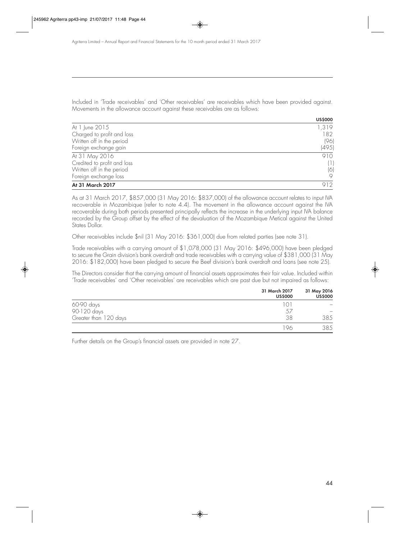Included in 'Trade receivables' and 'Other receivables' are receivables which have been provided against. Movements in the allowance account against these receivables are as follows:

|                             | <b>US\$000</b> |
|-----------------------------|----------------|
| At 1 June 2015              | 1,319          |
| Charged to profit and loss  | 182            |
| Written off in the period   | (96)           |
| Foreign exchange gain       | (495)          |
| At 31 May 2016              | 910            |
| Credited to profit and loss | (1)            |
| Written off in the period   | (6)            |
| Foreign exchange loss       |                |
| At 31 March 2017            | 912            |

As at 31 March 2017, \$857,000 (31 May 2016: \$837,000) of the allowance account relates to input IVA recoverable in Mozambique (refer to note 4.4). The movement in the allowance account against the IVA recoverable during both periods presented principally reflects the increase in the underlying input IVA balance recorded by the Group offset by the effect of the devaluation of the Mozambique Metical against the United States Dollar.

Other receivables include \$nil (31 May 2016: \$361,000) due from related parties (see note 31).

Trade receivables with a carrying amount of \$1,078,000 (31 May 2016: \$496,000) have been pledged to secure the Grain division's bank overdraft and trade receivables with a carrying value of \$381,000 (31 May 2016: \$182,000) have been pledged to secure the Beef division's bank overdraft and loans (see note 25).

The Directors consider that the carrying amount of financial assets approximates their fair value. Included within 'Trade receivables' and 'Other receivables' are receivables which are past due but not impaired as follows:

|                       | 31 March 2017<br><b>US\$000</b> | 31 May 2016<br><b>US\$000</b> |
|-----------------------|---------------------------------|-------------------------------|
| 60-90 days            |                                 |                               |
| 90-120 days           | 57                              |                               |
| Greater than 120 days | 38                              | 385                           |
|                       | 96                              | 385                           |

Further details on the Group's financial assets are provided in note 27.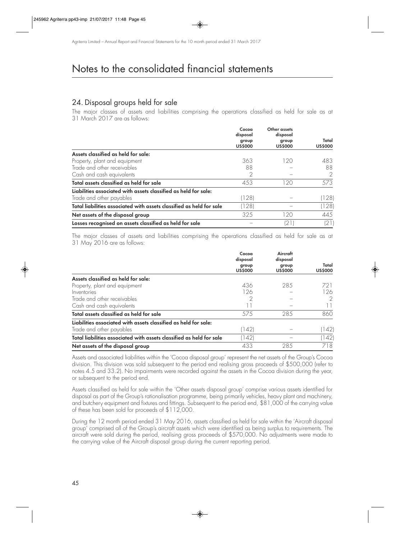## 24. Disposal groups held for sale

The major classes of assets and liabilities comprising the operations classified as held for sale as at 31 March 2017 are as follows:

|                                                                      | Cocoa<br>disposal<br>group<br><b>US\$000</b> | Other assets<br>disposal<br>group<br><b>US\$000</b> | Total<br><b>US\$000</b> |
|----------------------------------------------------------------------|----------------------------------------------|-----------------------------------------------------|-------------------------|
|                                                                      |                                              |                                                     |                         |
| Assets classified as held for sale:                                  |                                              |                                                     |                         |
| Property, plant and equipment                                        | 363                                          | 120                                                 | 483                     |
| Trade and other receivables                                          | 88                                           |                                                     | 88                      |
| Cash and cash equivalents                                            |                                              |                                                     |                         |
| Total assets classified as held for sale                             | 453                                          | 120                                                 | 573                     |
| Liabilities associated with assets classified as held for sale:      |                                              |                                                     |                         |
| Trade and other payables                                             | (128)                                        |                                                     | (128)                   |
| Total liabilities associated with assets classified as held for sale | (128)                                        |                                                     | (128)                   |
| Net assets of the disposal group                                     | 325                                          | 120                                                 | 445                     |
| Losses recognised on assets classified as held for sale              |                                              | (21)                                                | (21)                    |

The major classes of assets and liabilities comprising the operations classified as held for sale as at 31 May 2016 are as follows:

|                                                                      | Cocoa<br>disposal<br>group<br><b>US\$000</b> | Aircraft<br>disposal<br>group<br><b>US\$000</b> | Total<br><b>US\$000</b> |
|----------------------------------------------------------------------|----------------------------------------------|-------------------------------------------------|-------------------------|
| Assets classified as held for sale:                                  |                                              |                                                 |                         |
| Property, plant and equipment                                        | 436                                          | 285                                             | 721                     |
| Inventories                                                          | 126                                          |                                                 | 126                     |
| Trade and other receivables                                          |                                              |                                                 |                         |
| Cash and cash equivalents                                            | Ш                                            |                                                 |                         |
| Total assets classified as held for sale                             | 575                                          | 285                                             | 860                     |
| Liabilities associated with assets classified as held for sale:      |                                              |                                                 |                         |
| Trade and other payables                                             | (142)                                        |                                                 | (142)                   |
| Total liabilities associated with assets classified as held for sale | (142)                                        |                                                 | (142)                   |
| Net assets of the disposal group                                     | 433                                          | 28.5                                            | 718                     |

Assets and associated liabilities within the 'Cocoa disposal group' represent the net assets of the Group's Cocoa division. This division was sold subsequent to the period end realising gross proceeds of \$500,000 (refer to notes 4.5 and 33.2). No impairments were recorded against the assets in the Cocoa division during the year, or subsequent to the period end.

Assets classified as held for sale within the 'Other assets disposal group' comprise various assets identified for disposal as part of the Group's rationalisation programme, being primarily vehicles, heavy plant and machinery, and butchery equipment and fixtures and fittings. Subsequent to the period end, \$81,000 of the carrying value of these has been sold for proceeds of \$112,000.

During the 12 month period ended 31 May 2016, assets classified as held for sale within the 'Aircraft disposal group' comprised all of the Group's aircraft assets which were identified as being surplus to requirements. The aircraft were sold during the period, realising gross proceeds of \$570,000. No adjustments were made to the carrying value of the Aircraft disposal group during the current reporting period.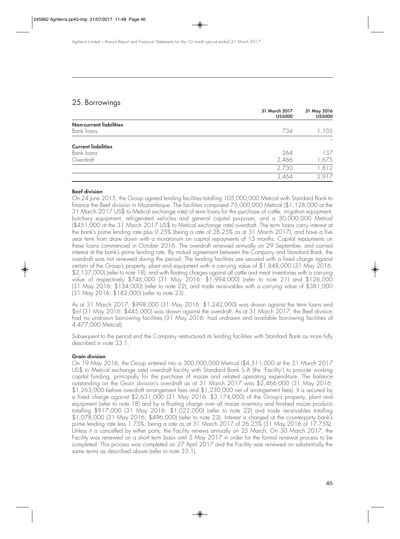## 25. Borrowings

|                                | 31 March 2017<br><b>US\$000</b> | 31 May 2016<br><b>US\$000</b> |
|--------------------------------|---------------------------------|-------------------------------|
| <b>Non-current liabilities</b> |                                 |                               |
| Bank loans                     | 734                             | ,105                          |
| <b>Current liabilities</b>     |                                 |                               |
| Bank loans                     | 264                             | 137                           |
| Overdraft                      | 2,466                           | 1,675                         |
|                                | 2,730                           | 1,812                         |
|                                | 3,464                           | 2,917                         |

#### **Beef division**

On 24 June 2015, the Group agreed lending facilities totalling 105,000,000 Metical with Standard Bank to finance the Beef division in Mozambique. The facilities comprised 75,000,000 Metical (\$1,128,000 at the 31 March 2017 US\$ to Metical exchange rate) of term loans for the purchase of cattle, irrigation equipment, butchery equipment, refrigerated vehicles and general capital purposes, and a 30,000,000 Metical (\$451,000 at the 31 March 2017 US\$ to Metical exchange rate) overdraft. The term loans carry interest at the bank's prime lending rate plus 0.25% (being a rate of 28.25% as at 31 March 2017), and have a five year term from draw down with a moratorium on capital repayments of 15 months. Capital repayments on these loans commenced in October 2016. The overdraft renewed annually on 29 September, and carried interest at the bank's prime lending rate. By mutual agreement between the Company and Standard Bank, the overdraft was not renewed during the period. The lending facilities are secured with a fixed charge against certain of the Group's property, plant and equipment with a carrying value of \$1,848,000 (31 May 2016: \$2,137,000) (refer to note 18), and with floating charges against all cattle and meat inventories with a carrying value of respectively \$746,000 (31 May 2016: \$1,994,000) (refer to note 21) and \$126,000 (31 May 2016: \$134,000) (refer to note 22), and trade receivables with a carrying value of \$381,000 (31 May 2016: \$182,000) (refer to note 23).

As at 31 March 2017, \$998,000 (31 May 2016: \$1,242,000) was drawn against the term loans and \$nil (31 May 2016: \$445,000) was drawn against the overdraft. As at 31 March 2017, the Beef division had no undrawn borrowing facilities (31 May 2016: had undrawn and available borrowing facilities of 4,477,000 Metical).

Subsequent to the period end the Company restructured its lending facilities with Standard Bank as more fully described in note 33.1.

#### **Grain division**

On 19 May 2016, the Group entered into a 300,000,000 Metical (\$4,511,000 at the 31 March 2017 US\$ to Metical exchange rate) overdraft facility with Standard Bank S.A (the 'Facility') to provide working capital funding, principally for the purchase of maize and related operating expenditure. The balance outstanding on the Grain division's overdraft as at 31 March 2017 was \$2,466,000 (31 May 2016: \$1,263,000 before overdraft arrangement fees and \$1,230,000 net of arrangement fees). It is secured by a fixed charge against \$2,631,000 (31 May 2016: \$3,174,000) of the Group's property, plant and equipment (refer to note 18) and by a floating charge over all maize inventory and finished maize products totalling \$917,000 (31 May 2016: \$1,022,000) (refer to note 22) and trade receivables totalling \$1,078,000 (31 May 2016: \$496,000) (refer to note 23). Interest is charged at the counterparty bank's prime lending rate less 1.75%, being a rate as at 31 March 2017 of 26.25% (31 May 2016 of 17.75%). Unless it is cancelled by either party, the Facility renews annually on 25 March. On 30 March 2017, the Facility was renewed on a short term basis until 5 May 2017 in order for the formal renewal process to be completed. This process was completed on 27 April 2017 and the Facility was renewed on substantially the same terms as described above (refer to note 33.1).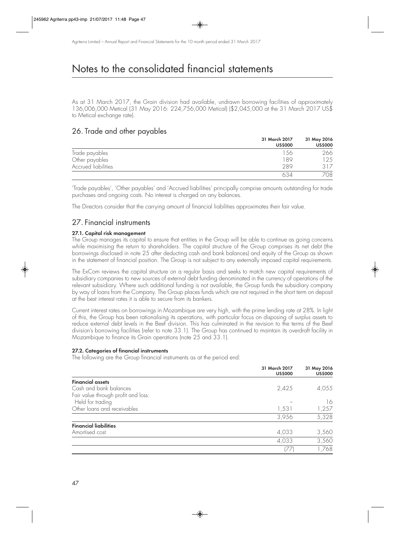As at 31 March 2017, the Grain division had available, undrawn borrowing facilities of approximately 136,006,000 Metical (31 May 2016: 224,756,000 Metical) (\$2,045,000 at the 31 March 2017 US\$ to Metical exchange rate).

## 26. Trade and other payables

|                     | 31 March 2017<br><b>US\$000</b> | 31 May 2016<br><b>US\$000</b> |
|---------------------|---------------------------------|-------------------------------|
| Trade payables      | 56                              | 266                           |
| Other payables      | 89                              | 25                            |
| Accrued liabilities | 289                             | 317                           |
|                     |                                 | 708                           |

'Trade payables', 'Other payables' and 'Accrued liabilities' principally comprise amounts outstanding for trade purchases and ongoing costs. No interest is charged on any balances.

The Directors consider that the carrying amount of financial liabilities approximates their fair value.

## 27 Financial instruments

#### **27.1. Capital risk management**

The Group manages its capital to ensure that entities in the Group will be able to continue as going concerns while maximising the return to shareholders. The capital structure of the Group comprises its net debt (the borrowings disclosed in note 25 after deducting cash and bank balances) and equity of the Group as shown in the statement of financial position. The Group is not subject to any externally imposed capital requirements.

The ExCom reviews the capital structure on a regular basis and seeks to match new capital requirements of subsidiary companies to new sources of external debt funding denominated in the currency of operations of the relevant subsidiary. Where such additional funding is not available, the Group funds the subsidiary company by way of loans from the Company. The Group places funds which are not required in the short term on deposit at the best interest rates it is able to secure from its bankers.

Current interest rates on borrowings in Mozambique are very high, with the prime lending rate at 28%. In light of this, the Group has been rationalising its operations, with particular focus on disposing of surplus assets to reduce external debt levels in the Beef division. This has culminated in the revision to the terms of the Beef division's borrowing facilities (refer to note 33.1). The Group has continued to maintain its overdraft facility in Mozambique to finance its Grain operations (note 25 and 33.1).

#### **27.2. Categories of financial instruments**

The following are the Group financial instruments as at the period end:

|                                     | 31 March 2017<br><b>US\$000</b> | 31 May 2016<br><b>US\$000</b> |
|-------------------------------------|---------------------------------|-------------------------------|
| <b>Financial assets</b>             |                                 |                               |
| Cash and bank balances              | 2,425                           | 4,055                         |
| Fair value through profit and loss: |                                 |                               |
| Held for trading                    |                                 | 16                            |
| Other loans and receivables         | 1,531                           | 1,257                         |
|                                     | 3,956                           | 5,328                         |
| <b>Financial liabilities</b>        |                                 |                               |
| Amortised cost                      | 4,033                           | 3,560                         |
|                                     | 4,033                           | 3,560                         |
|                                     | 177                             | ,768                          |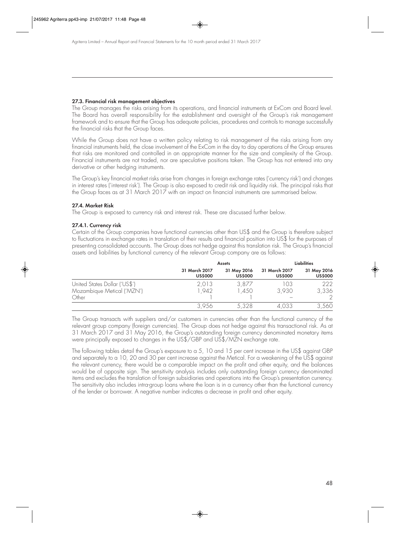#### **27.3. Financial risk management objectives**

The Group manages the risks arising from its operations, and financial instruments at ExCom and Board level. The Board has overall responsibility for the establishment and oversight of the Group's risk management framework and to ensure that the Group has adequate policies, procedures and controls to manage successfully the financial risks that the Group faces.

While the Group does not have a written policy relating to risk management of the risks arising from any financial instruments held, the close involvement of the ExCom in the day to day operations of the Group ensures that risks are monitored and controlled in an appropriate manner for the size and complexity of the Group. Financial instruments are not traded, nor are speculative positions taken. The Group has not entered into any derivative or other hedging instruments.

The Group's key financial market risks arise from changes in foreign exchange rates ('currency risk') and changes in interest rates ('interest risk'). The Group is also exposed to credit risk and liquidity risk. The principal risks that the Group faces as at 31 March 2017 with an impact on financial instruments are summarised below.

#### **27.4. Market Risk**

The Group is exposed to currency risk and interest risk. These are discussed further below.

#### **27.4.1. Currency risk**

Certain of the Group companies have functional currencies other than US\$ and the Group is therefore subject to fluctuations in exchange rates in translation of their results and financial position into US\$ for the purposes of presenting consolidated accounts. The Group does not hedge against this translation risk. The Group's financial assets and liabilities by functional currency of the relevant Group company are as follows:

|                               | <b>Assets</b>  |                | <b>Liabilities</b> |                        |
|-------------------------------|----------------|----------------|--------------------|------------------------|
|                               | 31 March 2017  | 31 May 2016    | 31 March 2017      | 31 May 2016            |
|                               | <b>US\$000</b> | <b>US\$000</b> | <b>US\$000</b>     | <b>US\$000</b>         |
| United States Dollar ('US\$') | 2,013          | 3,877          | 103                | 222                    |
| Mozambique Metical ('MZN')    | ,942           | 1,450          | 3.930              | 3,336                  |
| Other                         | 3,956          | 5,328          | 4,033              | $\mathcal{D}$<br>3,560 |

The Group transacts with suppliers and/or customers in currencies other than the functional currency of the relevant group company (foreign currencies). The Group does not hedge against this transactional risk. As at 31 March 2017 and 31 May 2016, the Group's outstanding foreign currency denominated monetary items were principally exposed to changes in the US\$/GBP and US\$/MZN exchange rate.

The following tables detail the Group's exposure to a 5, 10 and 15 per cent increase in the US\$ against GBP and separately to a 10, 20 and 30 per cent increase against the Metical. For a weakening of the US\$ against the relevant currency, there would be a comparable impact on the profit and other equity, and the balances would be of opposite sign. The sensitivity analysis includes only outstanding foreign currency denominated items and excludes the translation of foreign subsidiaries and operations into the Group's presentation currency. The sensitivity also includes intra-group loans where the loan is in a currency other than the functional currency of the lender or borrower. A negative number indicates a decrease in profit and other equity.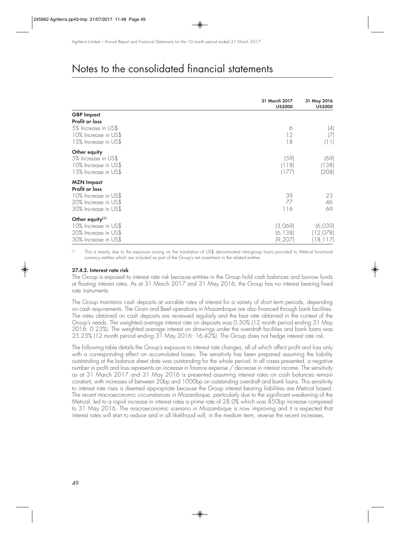|                                                                                                             | 31 March 2017<br><b>US\$000</b> | 31 May 2016<br><b>US\$000</b>    |
|-------------------------------------------------------------------------------------------------------------|---------------------------------|----------------------------------|
| <b>GBP Impact</b>                                                                                           |                                 |                                  |
| <b>Profit or loss</b><br>5% Increase in US\$<br>10% Increase in US\$<br>15% Increase in US\$                | 6<br>12<br>18                   | $\left( 4\right)$<br>17<br>(11)  |
| Other equity<br>5% Increase in US\$<br>10% Increase in US\$<br>15% Increase in US\$                         | (59)<br> 118 <br> 177           | (69)<br>(138)<br>(208)           |
| <b>MZN Impact</b><br>Profit or loss<br>10% Increase in US\$<br>20% Increase in US\$<br>30% Increase in US\$ | 39<br>77<br>116                 | 23<br>46<br>69                   |
| Other equity <sup>(1)</sup><br>10% Increase in US\$<br>20% Increase in US\$<br>30% Increase in US\$         | (3,069)<br>(6, 138)<br>(9, 207) | (6,039)<br>(12,078)<br>(18, 117) |

(1) This is mainly due to the exposure arising on the translation of US\$ denominated intra-group loans provided to Metical functional currency entities which are included as part of the Group's net investment in the related entities.

#### **27.4.2. Interest rate risk**

The Group is exposed to interest rate risk because entities in the Group hold cash balances and borrow funds at floating interest rates. As at 31 March 2017 and 31 May 2016, the Group has no interest bearing fixed rate instruments.

The Group maintains cash deposits at variable rates of interest for a variety of short term periods, depending on cash requirements. The Grain and Beef operations in Mozambique are also financed through bank facilities. The rates obtained on cash deposits are reviewed regularly and the best rate obtained in the context of the Group's needs. The weighted average interest rate on deposits was 0.50% (12 month period ending 31 May 2016: 0.23%). The weighted average interest on drawings under the overdraft facilities and bank loans was 25.23% (12 month period ending 31 May 2016: 16.42%). The Group does not hedge interest rate risk.

The following table details the Group's exposure to interest rate changes, all of which affect profit and loss only with a corresponding effect on accumulated losses. The sensitivity has been prepared assuming the liability outstanding at the balance sheet date was outstanding for the whole period. In all cases presented, a negative number in profit and loss represents an increase in finance expense / decrease in interest income. The sensitivity as at 31 March 2017 and 31 May 2016 is presented assuming interest rates on cash balances remain constant, with increases of between 20bp and 1000bp on outstanding overdraft and bank loans. This sensitivity to interest rate rises is deemed appropriate because the Group interest bearing liabilities are Metical based. The recent macroeconomic circumstances in Mozambique, particularly due to the significant weakening of the Metical, led to a rapid increase in interest rates a prime rate of 28.0% which was 850bp increase compared to 31 May 2016. The macroeconomic scenario in Mozambique is now improving and it is expected that interest rates will start to reduce and in all likelihood will, in the medium term, reverse the recent increases.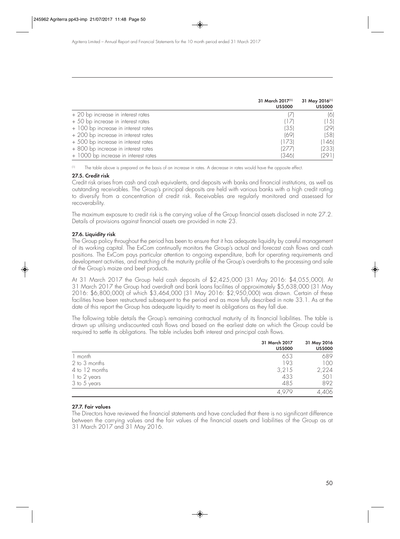|                                      | 31 March 2017 <sup>(1)</sup><br><b>US\$000</b> | 31 May 2016 <sup>(1)</sup><br><b>US\$000</b> |
|--------------------------------------|------------------------------------------------|----------------------------------------------|
| + 20 bp increase in interest rates   | 17                                             | (6)                                          |
| + 50 bp increase in interest rates   | $\Box$                                         | (15)                                         |
| + 100 bp increase in interest rates  | (35)                                           | (29)                                         |
| + 200 bp increase in interest rates  | (69)                                           | (58)                                         |
| + 500 bp increase in interest rates  | (173)                                          | (146)                                        |
| + 800 bp increase in interest rates  | 12771                                          | (233)                                        |
| + 1000 bp increase in interest rates | 13461                                          | (291)                                        |

(1) The table above is prepared on the basis of an increase in rates. A decrease in rates would have the opposite effect.

#### **27.5. Credit risk**

Credit risk arises from cash and cash equivalents, and deposits with banks and financial institutions, as well as outstanding receivables. The Group's principal deposits are held with various banks with a high credit rating to diversify from a concentration of credit risk. Receivables are regularly monitored and assessed for recoverability.

The maximum exposure to credit risk is the carrying value of the Group financial assets disclosed in note 27.2. Details of provisions against financial assets are provided in note 23.

#### **27.6. Liquidity risk**

The Group policy throughout the period has been to ensure that it has adequate liquidity by careful management of its working capital. The ExCom continually monitors the Group's actual and forecast cash flows and cash positions. The ExCom pays particular attention to ongoing expenditure, both for operating requirements and development activities, and matching of the maturity profile of the Group's overdrafts to the processing and sale of the Group's maize and beef products.

At 31 March 2017 the Group held cash deposits of \$2,425,000 (31 May 2016: \$4,055,000). At 31 March 2017 the Group had overdraft and bank loans facilities of approximately \$5,638,000 (31 May 2016: \$6,800,000) of which \$3,464,000 (31 May 2016: \$2,950,000) was drawn. Certain of these facilities have been restructured subsequent to the period end as more fully described in note 33.1. As at the date of this report the Group has adequate liquidity to meet its obligations as they fall due.

The following table details the Group's remaining contractual maturity of its financial liabilities. The table is drawn up utilising undiscounted cash flows and based on the earliest date on which the Group could be required to settle its obligations. The table includes both interest and principal cash flows.

|                | 31 March 2017<br><b>US\$000</b> | 31 May 2016<br><b>US\$000</b> |
|----------------|---------------------------------|-------------------------------|
| 1 month        | 653                             | 689                           |
| 2 to 3 months  | 193                             | 100                           |
| 4 to 12 months | 3,215                           | 2,224                         |
| 1 to 2 years   | 433                             | 501                           |
| 3 to 5 years   | 485                             | 892                           |
|                |                                 | 4,406                         |

#### **27.7. Fair values**

The Directors have reviewed the financial statements and have concluded that there is no significant difference between the carrying values and the fair values of the financial assets and liabilities of the Group as at 31 March 2017 and 31 May 2016.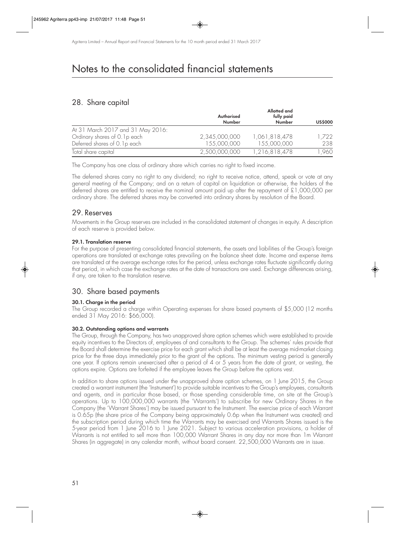## 28. Share capital

|                                   | Authorised<br>Number | Allotted and<br>fully paid<br>Number | <b>US\$000</b> |
|-----------------------------------|----------------------|--------------------------------------|----------------|
| At 31 March 2017 and 31 May 2016: |                      |                                      |                |
| Ordinary shares of 0.1p each      | 2,345,000,000        | 1,061,818,478                        | 1,722          |
| Deferred shares of 0.1p each      | 155,000,000          | 155,000,000                          | 238            |
| Total share capital               | 2,500,000,000        | 1,216,818,478                        | ,960           |

The Company has one class of ordinary share which carries no right to fixed income.

The deferred shares carry no right to any dividend; no right to receive notice, attend, speak or vote at any general meeting of the Company; and on a return of capital on liquidation or otherwise, the holders of the deferred shares are entitled to receive the nominal amount paid up after the repayment of £1,000,000 per ordinary share. The deferred shares may be converted into ordinary shares by resolution of the Board.

## 29. Reserves

Movements in the Group reserves are included in the consolidated statement of changes in equity. A description of each reserve is provided below.

#### **29.1. Translation reserve**

For the purpose of presenting consolidated financial statements, the assets and liabilities of the Group's foreign operations are translated at exchange rates prevailing on the balance sheet date. Income and expense items are translated at the average exchange rates for the period, unless exchange rates fluctuate significantly during that period, in which case the exchange rates at the date of transactions are used. Exchange differences arising, if any, are taken to the translation reserve.

## 30. Share based payments

### **30.1. Charge in the period**

The Group recorded a charge within Operating expenses for share based payments of \$5,000 (12 months ended 31 May 2016: \$66,000).

#### **30.2. Outstanding options and warrants**

The Group, through the Company, has two unapproved share option schemes which were established to provide equity incentives to the Directors of, employees of and consultants to the Group. The schemes' rules provide that the Board shall determine the exercise price for each grant which shall be at least the average mid-market closing price for the three days immediately prior to the grant of the options. The minimum vesting period is generally one year. If options remain unexercised after a period of 4 or 5 years from the date of grant, or vesting, the options expire. Options are forfeited if the employee leaves the Group before the options vest.

In addition to share options issued under the unapproved share option schemes, on 1 June 2015, the Group created a warrant instrument (the 'Instrument') to provide suitable incentives to the Group's employees, consultants and agents, and in particular those based, or those spending considerable time, on site at the Group's operations. Up to 100,000,000 warrants (the 'Warrants') to subscribe for new Ordinary Shares in the Company (the 'Warrant Shares') may be issued pursuant to the Instrument. The exercise price of each Warrant is 0.65p (the share price of the Company being approximately 0.6p when the Instrument was created) and the subscription period during which time the Warrants may be exercised and Warrants Shares issued is the 5-year period from 1 June 2016 to 1 June 2021. Subject to various acceleration provisions, a holder of Warrants is not entitled to sell more than 100,000 Warrant Shares in any day nor more than 1m Warrant Shares (in aggregate) in any calendar month, without board consent. 22,500,000 Warrants are in issue.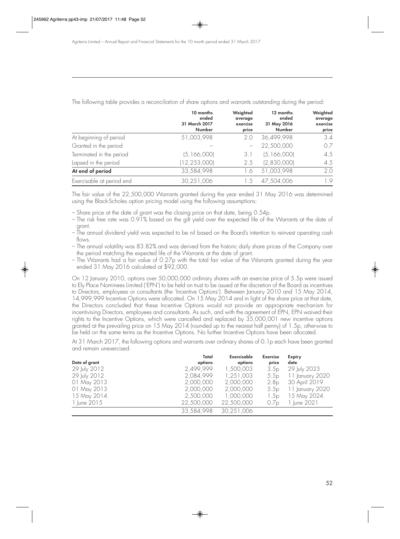|                           | 10 months<br>ended<br>31 March 2017<br><b>Number</b> | Weighted<br>average<br>exercise<br>price | 12 months<br>ended<br>31 May 2016<br><b>Number</b> | Weighted<br>average<br>exercise<br>price |
|---------------------------|------------------------------------------------------|------------------------------------------|----------------------------------------------------|------------------------------------------|
| At beginning of period    | 51,003,998                                           | 2.0                                      | 36,499,998                                         | 3.4                                      |
| Granted in the period     |                                                      |                                          | 22,500,000                                         | 07                                       |
| Terminated in the period  | (5, 166, 000)                                        | 3.1                                      | (5, 166, 000)                                      | 4.5                                      |
| Lapsed in the period      | (12, 253, 000)                                       | 2.5                                      | (2,830,000)                                        | 4.5                                      |
| At end of period          | 33,584,998                                           | l .6                                     | 51,003,998                                         | 2.0                                      |
| Exercisable at period end | 30,251,006                                           |                                          | 7,504,006                                          | 1.9                                      |

The following table provides a reconciliation of share options and warrants outstanding during the period:

The fair value of the 22,500,000 Warrants granted during the year ended 31 May 2016 was determined using the Black-Scholes option pricing model using the following assumptions:

- Share price at the date of grant was the closing price on that date, being 0.54p.
- The risk free rate was 0.91% based on the gilt yield over the expected life of the Warrants at the date of grant.
- The annual dividend yield was expected to be nil based on the Board's intention to reinvest operating cash flows.
- The annual volatility was 83.82% and was derived from the historic daily share prices of the Company over the period matching the expected life of the Warrants at the date of grant.
- The Warrants had a fair value of 0.27p with the total fair value of the Warrants granted during the year ended 31 May 2016 calculated at \$92,000.

On 12 January 2010, options over 50,000,000 ordinary shares with an exercise price of 5.5p were issued to Ely Place Nominees Limited ('EPN') to be held on trust to be issued at the discretion of the Board as incentives to Directors, employees or consultants (the 'Incentive Options'). Between January 2010 and 15 May 2014, 14,999,999 Incentive Options were allocated. On 15 May 2014 and in light of the share price at that date, the Directors concluded that these Incentive Options would not provide an appropriate mechanism for incentivising Directors, employees and consultants. As such, and with the agreement of EPN, EPN waived their rights to the Incentive Options, which were cancelled and replaced by 35,000,001 new incentive options granted at the prevailing price on 15 May 2014 (rounded up to the nearest half penny) of 1.5p, otherwise to be held on the same terms as the Incentive Options. No further Incentive Options have been allocated.

At 31 March 2017, the following options and warrants over ordinary shares of 0.1p each have been granted and remain unexercised:

|               | Total      | Exercisable | <b>Exercise</b>  | <b>Expiry</b>   |
|---------------|------------|-------------|------------------|-----------------|
| Date of grant | options    | options     | price            | date            |
| 29 July 2012  | 2,499,999  | 1,500,003   | 3.5p             | 29 July 2023    |
| 29 July 2012  | 2,084,999  | 1,251,003   | 5.5p             | 11 January 2020 |
| 01 May 2013   | 2,000,000  | 2,000,000   | 2.8 <sub>p</sub> | 30 April 2019   |
| 01 May 2013   | 2,000,000  | 2,000,000   | 5.5p             | 11 January 2020 |
| 15 May 2014   | 2,500,000  | 1,000,000   | 1.5p             | 15 May 2024     |
| 1 June 2015   | 22,500,000 | 22,500,000  | 0./p             | 1 June 2021     |
|               | 33,584,998 | 30,251,006  |                  |                 |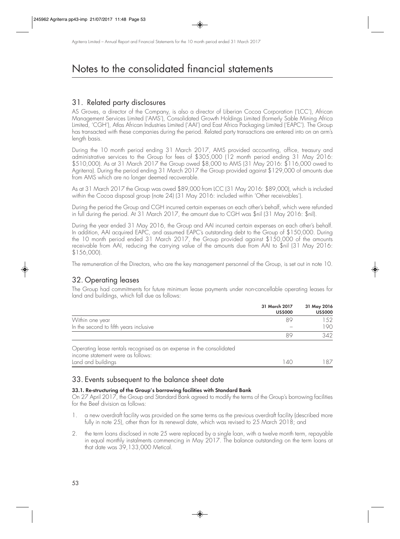## 31. Related party disclosures

AS Groves, a director of the Company, is also a director of Liberian Cocoa Corporation ('LCC'), African Management Services Limited ('AMS'), Consolidated Growth Holdings Limited (formerly Sable Mining Africa Limited, 'CGH'), Atlas African Industries Limited ('AAI') and East Africa Packaging Limited ('EAPC'). The Group has transacted with these companies during the period. Related party transactions are entered into on an arm's length basis.

During the 10 month period ending 31 March 2017, AMS provided accounting, office, treasury and administrative services to the Group for fees of \$305,000 (12 month period ending 31 May 2016: \$510,000). As at 31 March 2017 the Group owed \$8,000 to AMS (31 May 2016: \$116,000 owed to Agriterra). During the period ending 31 March 2017 the Group provided against \$129,000 of amounts due from AMS which are no longer deemed recoverable.

As at 31 March 2017 the Group was owed \$89,000 from LCC (31 May 2016: \$89,000), which is included within the Cocoa disposal group (note 24) (31 May 2016: included within 'Other receivables').

During the period the Group and CGH incurred certain expenses on each other's behalf, which were refunded in full during the period. At 31 March 2017, the amount due to CGH was \$nil (31 May 2016: \$nil).

During the year ended 31 May 2016, the Group and AAI incurred certain expenses on each other's behalf. In addition, AAI acquired EAPC, and assumed EAPC's outstanding debt to the Group of \$150,000. During the 10 month period ended 31 March 2017, the Group provided against \$150,000 of the amounts receivable from AAI, reducing the carrying value of the amounts due from AAI to \$nil (31 May 2016: \$156,000).

The remuneration of the Directors, who are the key management personnel of the Group, is set out in note 10.

### 32. Operating leases

The Group had commitments for future minimum lease payments under non-cancellable operating leases for land and buildings, which fall due as follows:

|                                                                      | 31 March 2017<br><b>US\$000</b> | 31 May 2016<br><b>US\$000</b> |
|----------------------------------------------------------------------|---------------------------------|-------------------------------|
| Within one year                                                      | 89                              | .52                           |
| In the second to fifth years inclusive                               |                                 | 190                           |
|                                                                      | ХY                              | 342                           |
| Operating lease rentals recognised as an expense in the consolidated |                                 |                               |

income statement were as follows: Land and buildings 140 187

## 33. Events subsequent to the balance sheet date

#### **33.1. Re-structuring of the Group's borrowing facilities with Standard Bank**

On 27 April 2017, the Group and Standard Bank agreed to modify the terms of the Group's borrowing facilities for the Beef division as follows:

- 1. a new overdraft facility was provided on the same terms as the previous overdraft facility (described more fully in note 25), other than for its renewal date, which was revised to 25 March 2018; and
- 2. the term loans disclosed in note 25 were replaced by a single loan, with a twelve month term, repayable in equal monthly instalments commencing in May 2017. The balance outstanding on the term loans at that date was 39,133,000 Metical.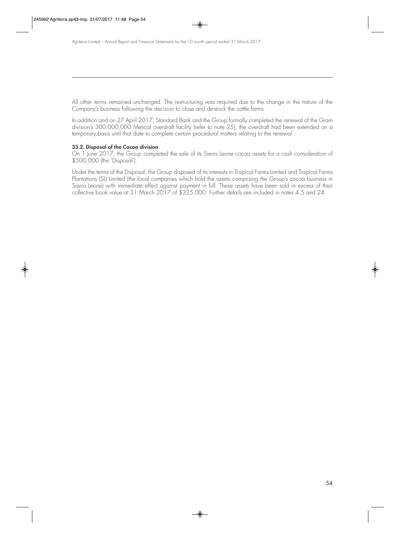All other terms remained unchanged. The restructuring was required due to the change in the nature of the Company's business following the decision to close and de-stock the cattle farms.

In addition and on 27 April 2017, Standard Bank and the Group formally completed the renewal of the Grain division's 300,000,000 Metical overdraft facility (refer to note 25); the overdraft had been extended on a temporary basis until that date to complete certain procedural matters relating to the renewal.

#### **33.2. Disposal of the Cocoa division**

On 1 June 2017, the Group completed the sale of its Sierra Leone cocoa assets for a cash consideration of \$500,000 (the 'Disposal').

Under the terms of the Disposal, the Group disposed of its interests in Tropical Farms Limited and Tropical Farms Plantations (SL) Limited (the local companies which hold the assets comprising the Group's cocoa business in Sierra Leone) with immediate effect against payment in full. These assets have been sold in excess of their collective book value at 31 March 2017 of \$325,000. Further details are included in notes 4.5 and 24.